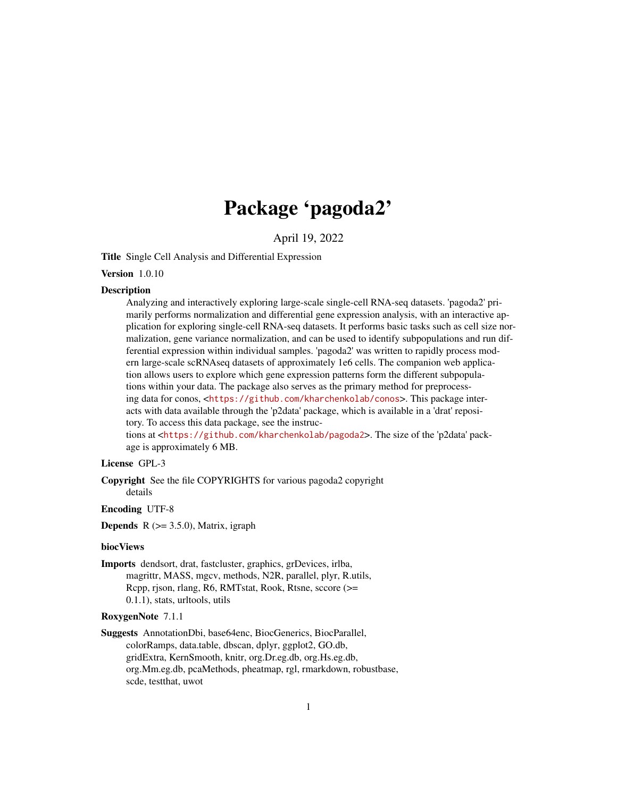# Package 'pagoda2'

April 19, 2022

<span id="page-0-0"></span>Title Single Cell Analysis and Differential Expression

Version 1.0.10

### **Description**

Analyzing and interactively exploring large-scale single-cell RNA-seq datasets. 'pagoda2' primarily performs normalization and differential gene expression analysis, with an interactive application for exploring single-cell RNA-seq datasets. It performs basic tasks such as cell size normalization, gene variance normalization, and can be used to identify subpopulations and run differential expression within individual samples. 'pagoda2' was written to rapidly process modern large-scale scRNAseq datasets of approximately 1e6 cells. The companion web application allows users to explore which gene expression patterns form the different subpopulations within your data. The package also serves as the primary method for preprocessing data for conos, <<https://github.com/kharchenkolab/conos>>. This package interacts with data available through the 'p2data' package, which is available in a 'drat' repository. To access this data package, see the instruc-

tions at <<https://github.com/kharchenkolab/pagoda2>>. The size of the 'p2data' package is approximately 6 MB.

# License GPL-3

Copyright See the file COPYRIGHTS for various pagoda2 copyright details

#### Encoding UTF-8

**Depends**  $R$  ( $> = 3.5.0$ ), Matrix, igraph

### biocViews

Imports dendsort, drat, fastcluster, graphics, grDevices, irlba, magrittr, MASS, mgcv, methods, N2R, parallel, plyr, R.utils, Rcpp, rjson, rlang, R6, RMTstat, Rook, Rtsne, sccore (>= 0.1.1), stats, urltools, utils

### RoxygenNote 7.1.1

Suggests AnnotationDbi, base64enc, BiocGenerics, BiocParallel, colorRamps, data.table, dbscan, dplyr, ggplot2, GO.db, gridExtra, KernSmooth, knitr, org.Dr.eg.db, org.Hs.eg.db, org.Mm.eg.db, pcaMethods, pheatmap, rgl, rmarkdown, robustbase, scde, testthat, uwot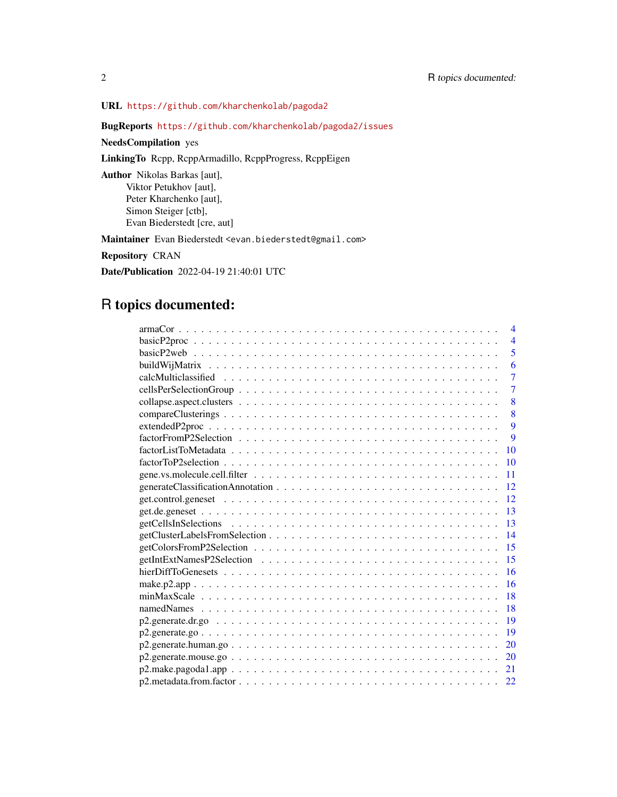URL <https://github.com/kharchenkolab/pagoda2>

# BugReports <https://github.com/kharchenkolab/pagoda2/issues>

NeedsCompilation yes

LinkingTo Rcpp, RcppArmadillo, RcppProgress, RcppEigen

Author Nikolas Barkas [aut], Viktor Petukhov [aut], Peter Kharchenko [aut], Simon Steiger [ctb], Evan Biederstedt [cre, aut]

Maintainer Evan Biederstedt <evan.biederstedt@gmail.com>

Repository CRAN

Date/Publication 2022-04-19 21:40:01 UTC

# R topics documented:

| $\overline{4}$ |
|----------------|
| $\overline{4}$ |
| 5              |
| 6              |
| $\overline{7}$ |
| 7              |
| 8              |
| 8              |
| 9              |
| 9              |
| 10             |
| 10             |
| 11             |
| 12             |
| 12             |
| 13             |
| 13             |
| 14             |
| 15             |
| 15             |
| 16             |
| 16             |
| 18             |
| 18             |
| 19             |
| 19             |
| 20             |
| 20             |
| 21             |
| 22             |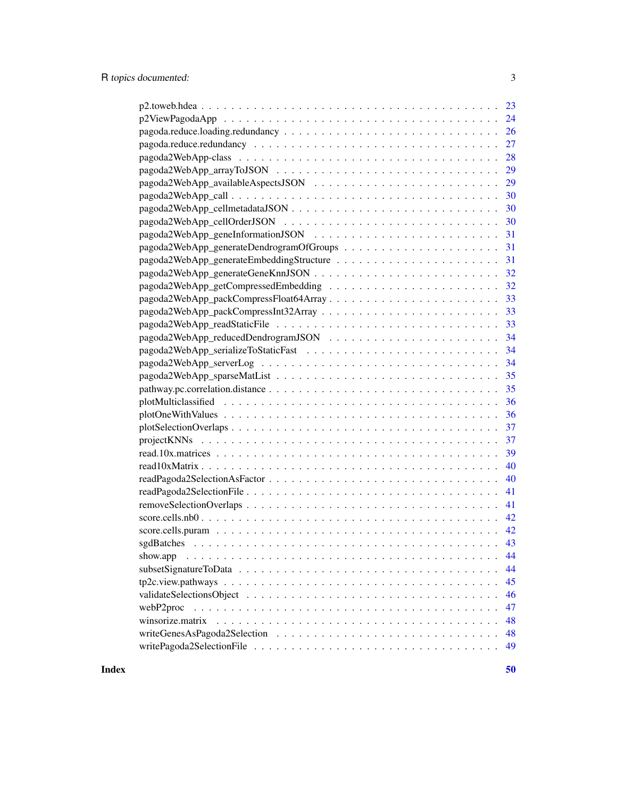| 28                     |
|------------------------|
| 29                     |
| 29                     |
| 30                     |
|                        |
|                        |
|                        |
|                        |
| 31                     |
|                        |
|                        |
|                        |
|                        |
|                        |
|                        |
| 34                     |
| 34                     |
| 35                     |
| 35                     |
|                        |
|                        |
|                        |
|                        |
| 39                     |
| 40                     |
| 40                     |
| 41                     |
| 41                     |
| 42                     |
| 42                     |
|                        |
| 44<br>show.app         |
| 44                     |
| 45                     |
| 46                     |
| 47<br>webP2proc        |
| winsorize.matrix<br>48 |
| 48                     |
| 49                     |
|                        |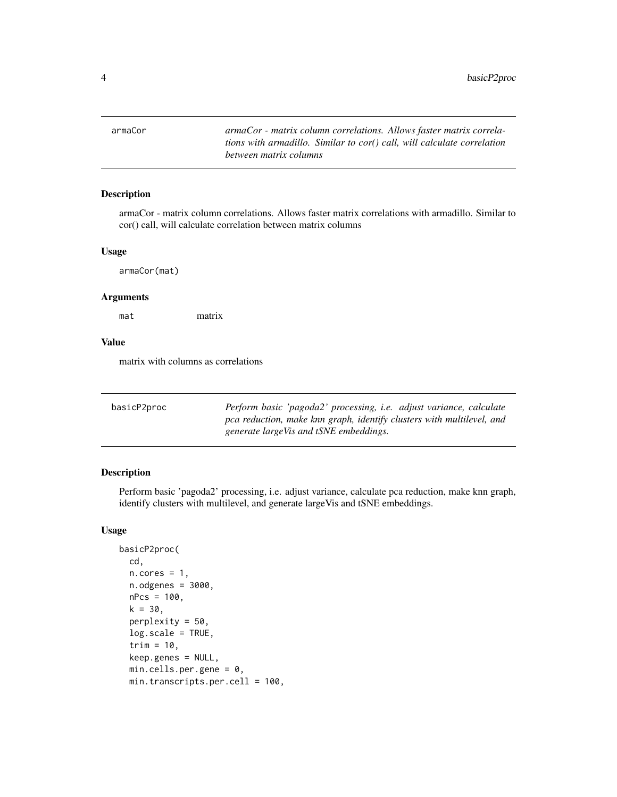<span id="page-3-0"></span>armaCor *armaCor - matrix column correlations. Allows faster matrix correlations with armadillo. Similar to cor() call, will calculate correlation between matrix columns*

### Description

armaCor - matrix column correlations. Allows faster matrix correlations with armadillo. Similar to cor() call, will calculate correlation between matrix columns

#### Usage

armaCor(mat)

#### Arguments

mat matrix

#### Value

matrix with columns as correlations

| basicP2proc | Perform basic 'pagoda2' processing, <i>i.e.</i> adjust variance, calculate |
|-------------|----------------------------------------------------------------------------|
|             | pca reduction, make knn graph, identify clusters with multilevel, and      |
|             | generate largeVis and tSNE embeddings.                                     |

# Description

Perform basic 'pagoda2' processing, i.e. adjust variance, calculate pca reduction, make knn graph, identify clusters with multilevel, and generate largeVis and tSNE embeddings.

# Usage

```
basicP2proc(
 cd,
 n.cores = 1,n.odgenes = 3000,
 nPcs = 100,
 k = 30,perplexity = 50.
 log.scale = TRUE,
  trim = 10,
 keep.genes = NULL,
 min.cells.per.gene = 0,min.transcripts.per.cell = 100,
```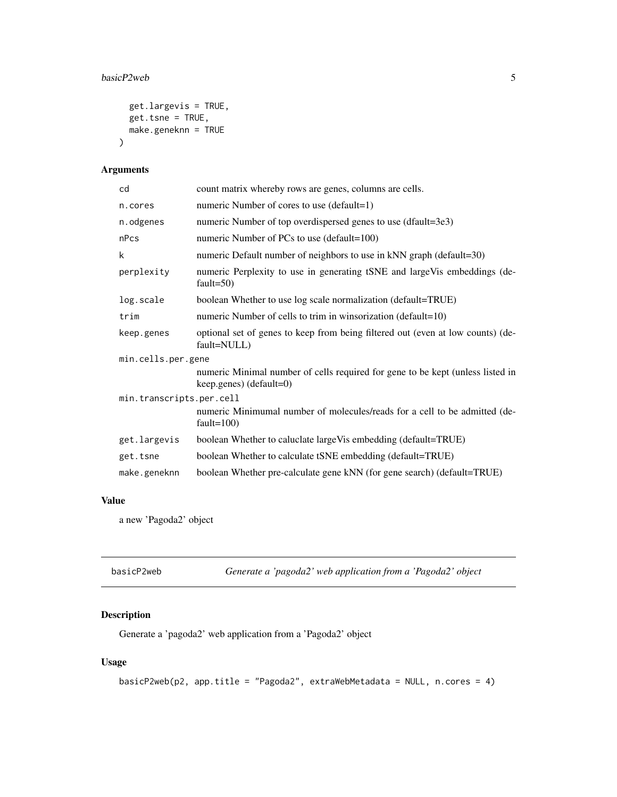#### <span id="page-4-0"></span>basicP2web 5

```
get.largevis = TRUE,
  get.tsne = TRUE,
  make.geneknn = TRUE
\mathcal{L}
```
# Arguments

| cd                       | count matrix whereby rows are genes, columns are cells.                                                     |  |
|--------------------------|-------------------------------------------------------------------------------------------------------------|--|
| n.cores                  | numeric Number of cores to use (default=1)                                                                  |  |
| n.odgenes                | numeric Number of top overdispersed genes to use (dfault=3e3)                                               |  |
| nPcs                     | numeric Number of PCs to use $(detault=100)$                                                                |  |
| k                        | numeric Default number of neighbors to use in kNN graph (default=30)                                        |  |
| perplexity               | numeric Perplexity to use in generating tSNE and largeVis embeddings (de-<br>fault= $50$ )                  |  |
| log.scale                | boolean Whether to use log scale normalization (default=TRUE)                                               |  |
| trim                     | numeric Number of cells to trim in winsorization (default=10)                                               |  |
| keep.genes               | optional set of genes to keep from being filtered out (even at low counts) (de-<br>fault=NULL)              |  |
| min.cells.per.gene       |                                                                                                             |  |
|                          | numeric Minimal number of cells required for gene to be kept (unless listed in<br>$keep.genes)$ (default=0) |  |
| min.transcripts.per.cell |                                                                                                             |  |
|                          | numeric Minimumal number of molecules/reads for a cell to be admitted (de-<br>fault= $100$ )                |  |
| get.largevis             | boolean Whether to caluclate large Vis embedding (default=TRUE)                                             |  |
| get.tsne                 | boolean Whether to calculate tSNE embedding (default=TRUE)                                                  |  |
| make.geneknn             | boolean Whether pre-calculate gene kNN (for gene search) (default=TRUE)                                     |  |

# Value

a new 'Pagoda2' object

| basicP2web | Generate a 'pagoda2' web application from a 'Pagoda2' object |  |
|------------|--------------------------------------------------------------|--|
|------------|--------------------------------------------------------------|--|

# Description

Generate a 'pagoda2' web application from a 'Pagoda2' object

# Usage

```
basicP2web(p2, app.title = "Pagoda2", extraWebMetadata = NULL, n.cores = 4)
```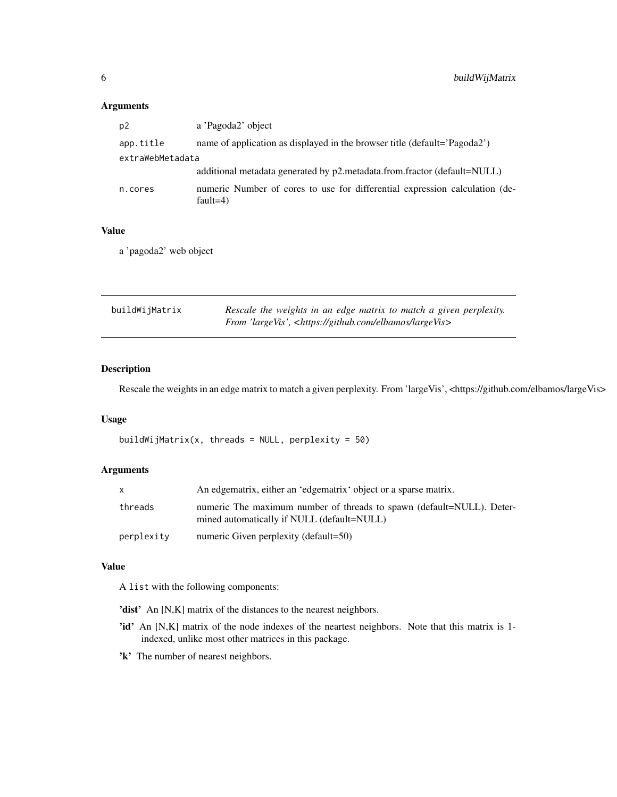### <span id="page-5-0"></span>Arguments

| p2               | a 'Pagoda2' object                                                                         |  |
|------------------|--------------------------------------------------------------------------------------------|--|
| app.title        | name of application as displayed in the browser title (default='Pagoda2')                  |  |
| extraWebMetadata |                                                                                            |  |
|                  | additional metadata generated by p2.metadata.from.fractor (default=NULL)                   |  |
| n.cores          | numeric Number of cores to use for differential expression calculation (de-<br>fault=4 $)$ |  |

### Value

a 'pagoda2' web object

| buildWijMatrix | Rescale the weights in an edge matrix to match a given perplexity.      |  |
|----------------|-------------------------------------------------------------------------|--|
|                | From 'largeVis', <https: elbamos="" github.com="" largevis=""></https:> |  |

# Description

Rescale the weights in an edge matrix to match a given perplexity. From 'largeVis', <https://github.com/elbamos/largeVis>

#### Usage

```
buildWijMatrix(x, threads = NULL, perplexity = 50)
```
# Arguments

|            | An edgematrix, either an 'edgematrix' object or a sparse matrix.                                                    |
|------------|---------------------------------------------------------------------------------------------------------------------|
| threads    | numeric The maximum number of threads to spawn (default=NULL). Deter-<br>mined automatically if NULL (default=NULL) |
| perplexity | numeric Given perplexity (default=50)                                                                               |

### Value

A list with the following components:

- 'dist' An [N,K] matrix of the distances to the nearest neighbors.
- 'id' An [N,K] matrix of the node indexes of the neartest neighbors. Note that this matrix is 1indexed, unlike most other matrices in this package.
- 'k' The number of nearest neighbors.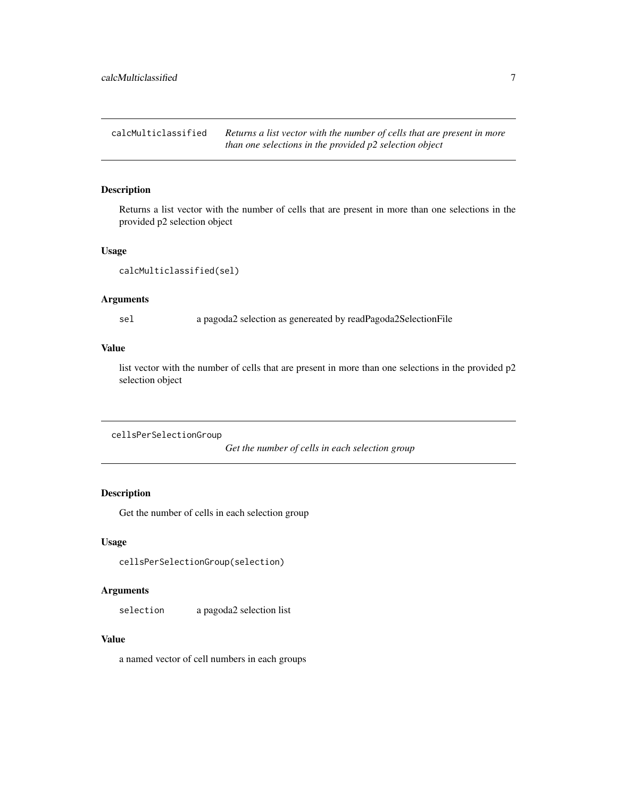<span id="page-6-0"></span>calcMulticlassified *Returns a list vector with the number of cells that are present in more than one selections in the provided p2 selection object*

### Description

Returns a list vector with the number of cells that are present in more than one selections in the provided p2 selection object

#### Usage

```
calcMulticlassified(sel)
```
# Arguments

sel a pagoda2 selection as genereated by readPagoda2SelectionFile

### Value

list vector with the number of cells that are present in more than one selections in the provided p2 selection object

cellsPerSelectionGroup

*Get the number of cells in each selection group*

# Description

Get the number of cells in each selection group

### Usage

cellsPerSelectionGroup(selection)

### Arguments

selection a pagoda2 selection list

### Value

a named vector of cell numbers in each groups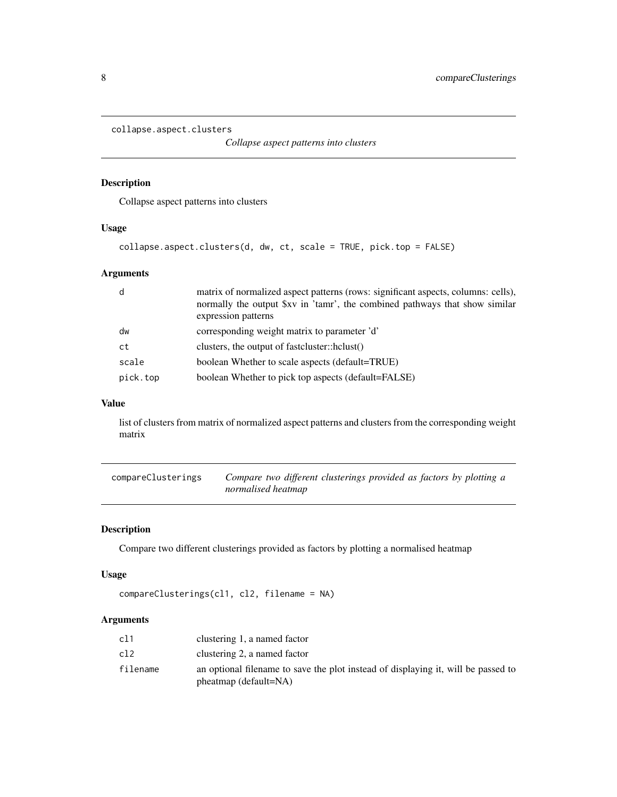```
collapse.aspect.clusters
```
*Collapse aspect patterns into clusters*

# Description

Collapse aspect patterns into clusters

### Usage

```
collapse.aspect.clusters(d, dw, ct, scale = TRUE, pick.top = FALSE)
```
# Arguments

| d        | matrix of normalized aspect patterns (rows: significant aspects, columns: cells),<br>normally the output \$xv in 'tamr', the combined pathways that show similar<br>expression patterns |
|----------|-----------------------------------------------------------------------------------------------------------------------------------------------------------------------------------------|
| dw       | corresponding weight matrix to parameter 'd'                                                                                                                                            |
| ct       | clusters, the output of fastcluster::hclust()                                                                                                                                           |
| scale    | boolean Whether to scale aspects (default=TRUE)                                                                                                                                         |
| pick.top | boolean Whether to pick top aspects (default=FALSE)                                                                                                                                     |

## Value

list of clusters from matrix of normalized aspect patterns and clusters from the corresponding weight matrix

| compareClusterings | Compare two different clusterings provided as factors by plotting a |
|--------------------|---------------------------------------------------------------------|
|                    | normalised heatmap                                                  |

# Description

Compare two different clusterings provided as factors by plotting a normalised heatmap

# Usage

```
compareClusterings(cl1, cl2, filename = NA)
```
# Arguments

| c11      | clustering 1, a named factor                                                                                  |
|----------|---------------------------------------------------------------------------------------------------------------|
| c12      | clustering 2, a named factor                                                                                  |
| filename | an optional filename to save the plot instead of displaying it, will be passed to<br>$ph$ eatmap (default=NA) |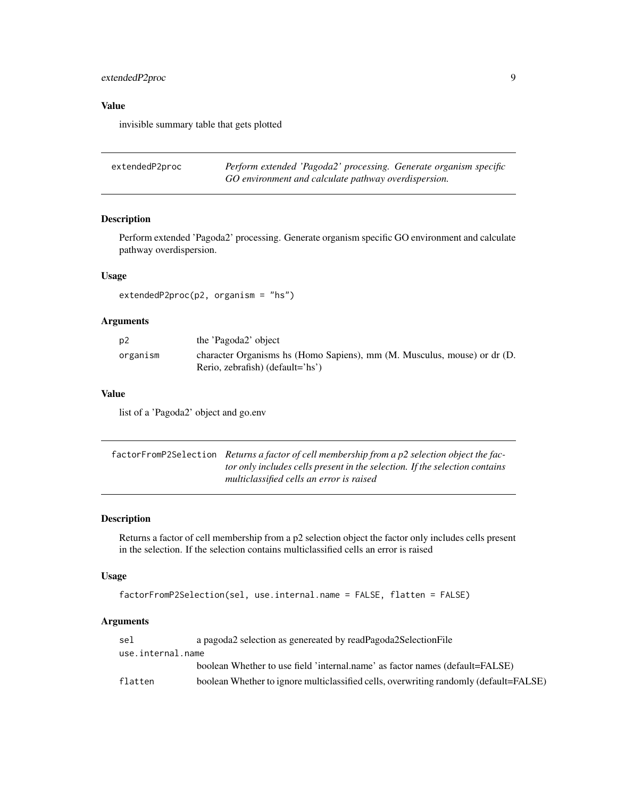# <span id="page-8-0"></span>extendedP2proc 9

# Value

invisible summary table that gets plotted

| extendedP2proc | Perform extended 'Pagoda2' processing. Generate organism specific |  |
|----------------|-------------------------------------------------------------------|--|
|                | GO environment and calculate pathway overdispersion.              |  |

# Description

Perform extended 'Pagoda2' processing. Generate organism specific GO environment and calculate pathway overdispersion.

# Usage

extendedP2proc(p2, organism = "hs")

# Arguments

| p <sub>2</sub> | the 'Pagoda2' object                                                     |
|----------------|--------------------------------------------------------------------------|
| organism       | character Organisms hs (Homo Sapiens), mm (M. Musculus, mouse) or dr (D. |
|                | Rerio, zebrafish) (default='hs')                                         |

### Value

list of a 'Pagoda2' object and go.env

| factorFromP2Selection Returns a factor of cell membership from a p2 selection object the fac- |
|-----------------------------------------------------------------------------------------------|
| tor only includes cells present in the selection. If the selection contains                   |
| multiclassified cells an error is raised                                                      |

# Description

Returns a factor of cell membership from a p2 selection object the factor only includes cells present in the selection. If the selection contains multiclassified cells an error is raised

### Usage

```
factorFromP2Selection(sel, use.internal.name = FALSE, flatten = FALSE)
```
### Arguments

| sel               | a pagoda2 selection as genereated by readPagoda2SelectionFile                         |
|-------------------|---------------------------------------------------------------------------------------|
| use.internal.name |                                                                                       |
|                   | boolean Whether to use field 'internal.name' as factor names (default=FALSE)          |
| flatten           | boolean Whether to ignore multiclassified cells, overwriting randomly (default=FALSE) |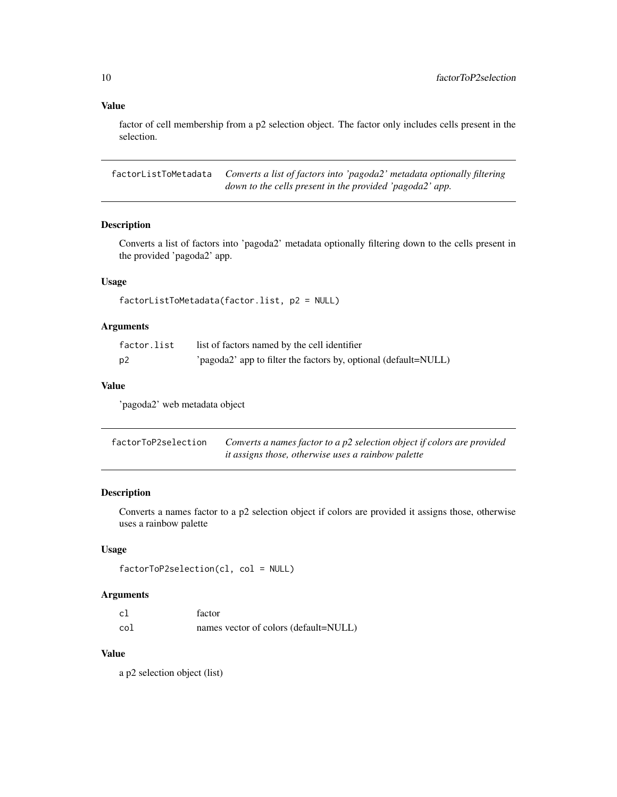# Value

factor of cell membership from a p2 selection object. The factor only includes cells present in the selection.

factorListToMetadata *Converts a list of factors into 'pagoda2' metadata optionally filtering down to the cells present in the provided 'pagoda2' app.*

### Description

Converts a list of factors into 'pagoda2' metadata optionally filtering down to the cells present in the provided 'pagoda2' app.

# Usage

```
factorListToMetadata(factor.list, p2 = NULL)
```
# Arguments

| factor.list | list of factors named by the cell identifier                    |
|-------------|-----------------------------------------------------------------|
| p2          | 'pagoda2' app to filter the factors by, optional (default=NULL) |

### Value

'pagoda2' web metadata object

| factorToP2selection | Converts a names factor to a p2 selection object if colors are provided |
|---------------------|-------------------------------------------------------------------------|
|                     | <i>it assigns those, otherwise uses a rainbow palette</i>               |

# Description

Converts a names factor to a p2 selection object if colors are provided it assigns those, otherwise uses a rainbow palette

#### Usage

```
factorToP2selection(cl, col = NULL)
```
### Arguments

| c1  | factor                                |
|-----|---------------------------------------|
| col | names vector of colors (default=NULL) |

# Value

a p2 selection object (list)

<span id="page-9-0"></span>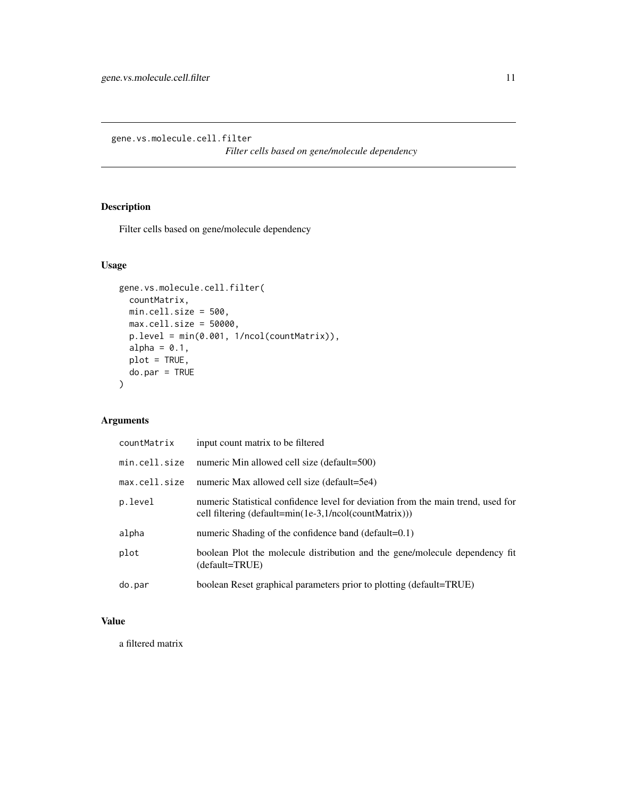<span id="page-10-0"></span>gene.vs.molecule.cell.filter

*Filter cells based on gene/molecule dependency*

# Description

Filter cells based on gene/molecule dependency

# Usage

```
gene.vs.molecule.cell.filter(
 countMatrix,
 min.cell.size = 500,
 max.cell.size = 50000,
 p.level = min(0.001, 1/ncol(countMatrix)),
 alpha = 0.1,
 plot = TRUE,
 do.par = TRUE
)
```
# Arguments

| countMatrix   | input count matrix to be filtered                                                                                                          |
|---------------|--------------------------------------------------------------------------------------------------------------------------------------------|
| min.cell.size | numeric Min allowed cell size (default=500)                                                                                                |
| max.cell.size | numeric Max allowed cell size (default=5e4)                                                                                                |
| p.level       | numeric Statistical confidence level for deviation from the main trend, used for<br>cell filtering (default=min(1e-3,1/ncol(countMatrix))) |
| alpha         | numeric Shading of the confidence band (default=0.1)                                                                                       |
| plot          | boolean Plot the molecule distribution and the gene/molecule dependency fit<br>(default=TRUE)                                              |
| do.par        | boolean Reset graphical parameters prior to plotting (default=TRUE)                                                                        |

# Value

a filtered matrix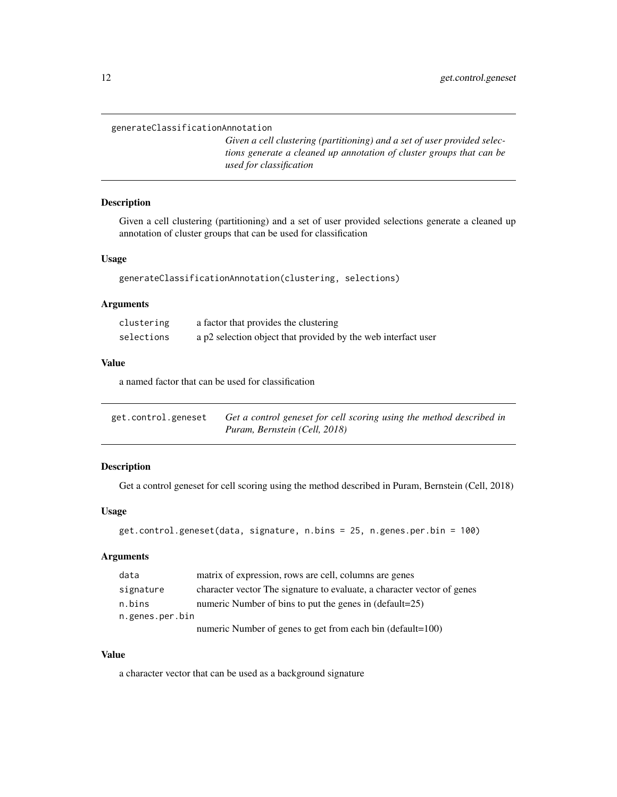### <span id="page-11-0"></span>generateClassificationAnnotation

*Given a cell clustering (partitioning) and a set of user provided selections generate a cleaned up annotation of cluster groups that can be used for classification*

# Description

Given a cell clustering (partitioning) and a set of user provided selections generate a cleaned up annotation of cluster groups that can be used for classification

### Usage

```
generateClassificationAnnotation(clustering, selections)
```
# Arguments

| clustering | a factor that provides the clustering                         |
|------------|---------------------------------------------------------------|
| selections | a p2 selection object that provided by the web interfact user |

### Value

a named factor that can be used for classification

| get.control.geneset | Get a control geneset for cell scoring using the method described in |
|---------------------|----------------------------------------------------------------------|
|                     | Puram, Bernstein (Cell, 2018)                                        |

#### Description

Get a control geneset for cell scoring using the method described in Puram, Bernstein (Cell, 2018)

#### Usage

```
get.control.geneset(data, signature, n.bins = 25, n.genes.per.bin = 100)
```
# Arguments

| data            | matrix of expression, rows are cell, columns are genes                   |  |
|-----------------|--------------------------------------------------------------------------|--|
| signature       | character vector. The signature to evaluate, a character vector of genes |  |
| n.bins          | numeric Number of bins to put the genes in (default=25)                  |  |
| n.genes.per.bin |                                                                          |  |
|                 | numeric Number of genes to get from each bin (default=100)               |  |

# Value

a character vector that can be used as a background signature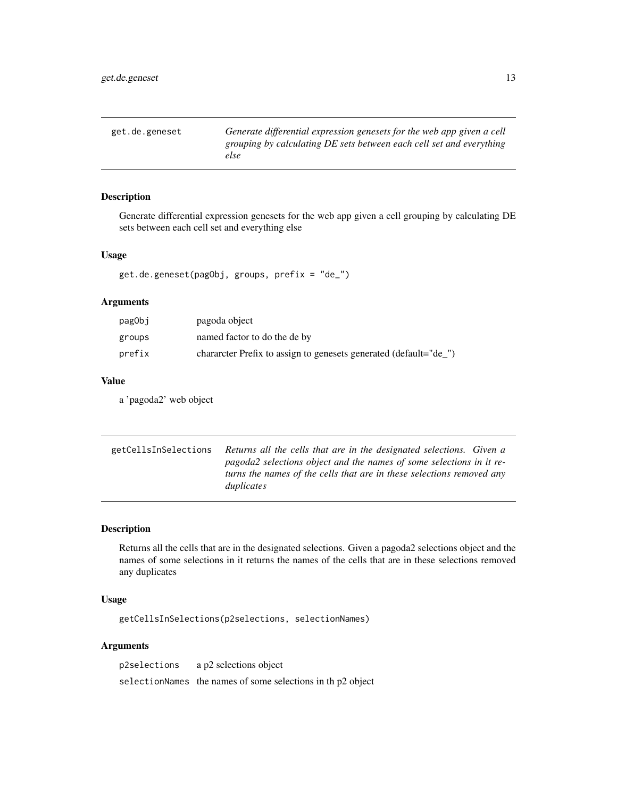<span id="page-12-0"></span>get.de.geneset *Generate differential expression genesets for the web app given a cell grouping by calculating DE sets between each cell set and everything else*

#### Description

Generate differential expression genesets for the web app given a cell grouping by calculating DE sets between each cell set and everything else

#### Usage

get.de.geneset(pagObj, groups, prefix = "de\_")

### Arguments

| pag0bj | pagoda object                                                    |
|--------|------------------------------------------------------------------|
| groups | named factor to do the de by                                     |
| prefix | character Prefix to assign to genesets generated (default="de_") |

### Value

a 'pagoda2' web object

getCellsInSelections *Returns all the cells that are in the designated selections. Given a pagoda2 selections object and the names of some selections in it returns the names of the cells that are in these selections removed any duplicates*

#### Description

Returns all the cells that are in the designated selections. Given a pagoda2 selections object and the names of some selections in it returns the names of the cells that are in these selections removed any duplicates

#### Usage

getCellsInSelections(p2selections, selectionNames)

### Arguments

p2selections a p2 selections object selectionNames the names of some selections in th p2 object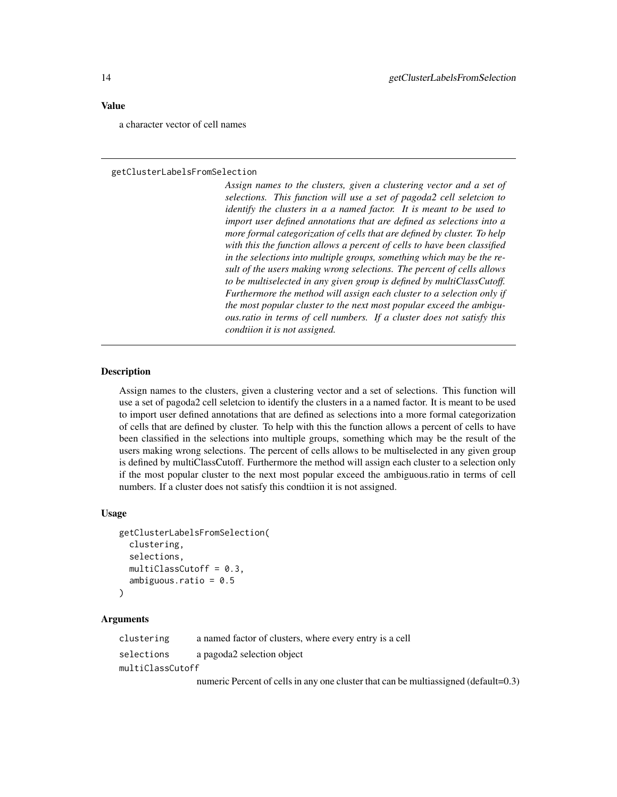#### <span id="page-13-0"></span>Value

a character vector of cell names

#### getClusterLabelsFromSelection

*Assign names to the clusters, given a clustering vector and a set of selections. This function will use a set of pagoda2 cell seletcion to identify the clusters in a a named factor. It is meant to be used to import user defined annotations that are defined as selections into a more formal categorization of cells that are defined by cluster. To help with this the function allows a percent of cells to have been classified in the selections into multiple groups, something which may be the result of the users making wrong selections. The percent of cells allows to be multiselected in any given group is defined by multiClassCutoff. Furthermore the method will assign each cluster to a selection only if the most popular cluster to the next most popular exceed the ambiguous.ratio in terms of cell numbers. If a cluster does not satisfy this condtiion it is not assigned.*

### **Description**

Assign names to the clusters, given a clustering vector and a set of selections. This function will use a set of pagoda2 cell seletcion to identify the clusters in a a named factor. It is meant to be used to import user defined annotations that are defined as selections into a more formal categorization of cells that are defined by cluster. To help with this the function allows a percent of cells to have been classified in the selections into multiple groups, something which may be the result of the users making wrong selections. The percent of cells allows to be multiselected in any given group is defined by multiClassCutoff. Furthermore the method will assign each cluster to a selection only if the most popular cluster to the next most popular exceed the ambiguous.ratio in terms of cell numbers. If a cluster does not satisfy this condtiion it is not assigned.

### Usage

```
getClusterLabelsFromSelection(
  clustering,
  selections,
  multiClassCutoff = 0.3,
  ambiguous.ratio = 0.5
\mathcal{L}
```
### Arguments

| clustering       | a named factor of clusters, where every entry is a cell                             |  |
|------------------|-------------------------------------------------------------------------------------|--|
| selections       | a pagoda2 selection object                                                          |  |
| multiClassCutoff |                                                                                     |  |
|                  | numeric Percent of cells in any one cluster that can be multiassigned (default=0.3) |  |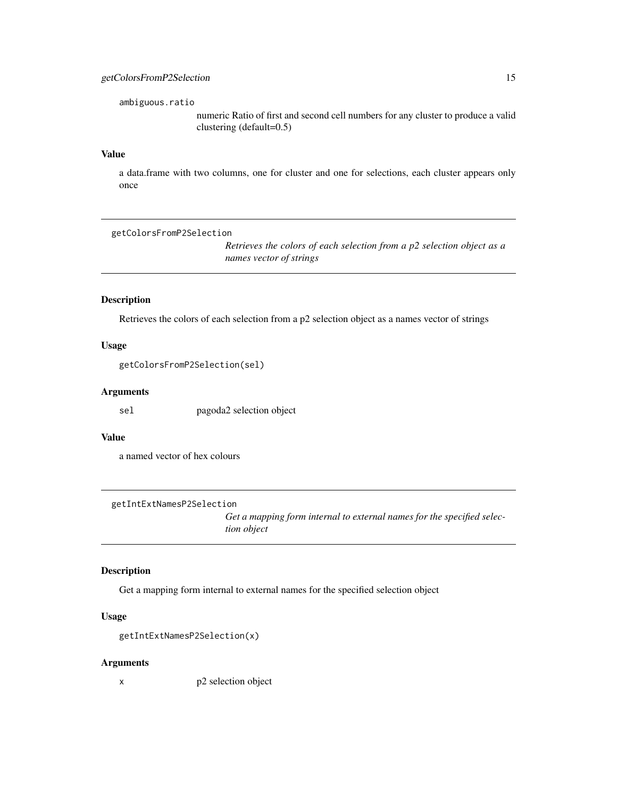<span id="page-14-0"></span>ambiguous.ratio

numeric Ratio of first and second cell numbers for any cluster to produce a valid clustering (default=0.5)

### Value

a data.frame with two columns, one for cluster and one for selections, each cluster appears only once

getColorsFromP2Selection

*Retrieves the colors of each selection from a p2 selection object as a names vector of strings*

### Description

Retrieves the colors of each selection from a p2 selection object as a names vector of strings

### Usage

getColorsFromP2Selection(sel)

### Arguments

sel pagoda2 selection object

### Value

a named vector of hex colours

getIntExtNamesP2Selection

*Get a mapping form internal to external names for the specified selection object*

### Description

Get a mapping form internal to external names for the specified selection object

### Usage

getIntExtNamesP2Selection(x)

#### Arguments

x p2 selection object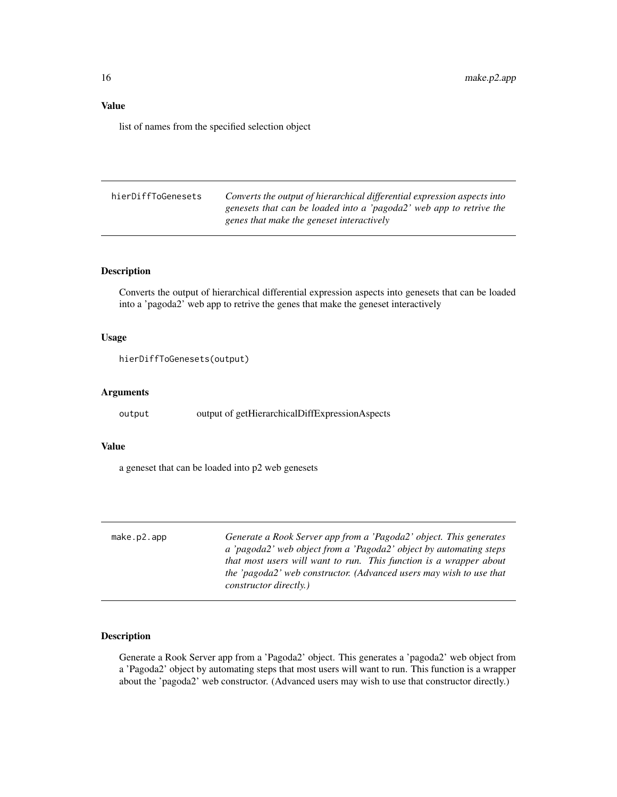# <span id="page-15-0"></span>Value

list of names from the specified selection object

| hierDiffToGenesets | Converts the output of hierarchical differential expression aspects into |
|--------------------|--------------------------------------------------------------------------|
|                    | genesets that can be loaded into a 'pagoda2' web app to retrive the      |
|                    | genes that make the geneset interactively                                |

# Description

Converts the output of hierarchical differential expression aspects into genesets that can be loaded into a 'pagoda2' web app to retrive the genes that make the geneset interactively

# Usage

```
hierDiffToGenesets(output)
```
# Arguments

output output of getHierarchicalDiffExpressionAspects

#### Value

a geneset that can be loaded into p2 web genesets

| make.p2.append | Generate a Rook Server app from a 'Pagoda2' object. This generates  |
|----------------|---------------------------------------------------------------------|
|                | a 'pagoda2' web object from a 'Pagoda2' object by automating steps  |
|                | that most users will want to run. This function is a wrapper about  |
|                | the 'pagoda2' web constructor. (Advanced users may wish to use that |
|                | <i>constructor directly.)</i>                                       |

# Description

Generate a Rook Server app from a 'Pagoda2' object. This generates a 'pagoda2' web object from a 'Pagoda2' object by automating steps that most users will want to run. This function is a wrapper about the 'pagoda2' web constructor. (Advanced users may wish to use that constructor directly.)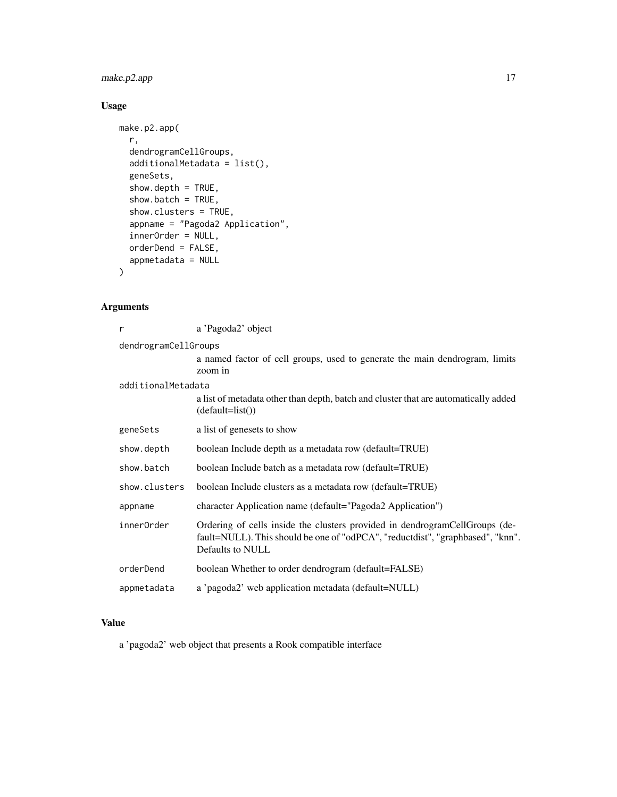# make.p2.app 17

# Usage

```
make.p2.app(
  r,
  dendrogramCellGroups,
  additionalMetadata = list(),
  geneSets,
  show.depth = TRUE,
  show.batch = TRUE,
  show.clusters = TRUE,
  appname = "Pagoda2 Application",
  innerOrder = NULL,
 orderDend = FALSE,
  appmetadata = NULL
\mathcal{L}
```
# Arguments

| r                    | a 'Pagoda2' object                                                                                                                                                                |  |
|----------------------|-----------------------------------------------------------------------------------------------------------------------------------------------------------------------------------|--|
| dendrogramCellGroups |                                                                                                                                                                                   |  |
|                      | a named factor of cell groups, used to generate the main dendrogram, limits<br>zoom in                                                                                            |  |
| additionalMetadata   |                                                                                                                                                                                   |  |
|                      | a list of metadata other than depth, batch and cluster that are automatically added<br>$(default=list())$                                                                         |  |
| geneSets             | a list of genesets to show                                                                                                                                                        |  |
| show.depth           | boolean Include depth as a metadata row (default=TRUE)                                                                                                                            |  |
| show.batch           | boolean Include batch as a metadata row (default=TRUE)                                                                                                                            |  |
| show.clusters        | boolean Include clusters as a metadata row (default=TRUE)                                                                                                                         |  |
| appname              | character Application name (default="Pagoda2 Application")                                                                                                                        |  |
| innerOrder           | Ordering of cells inside the clusters provided in dendrogramCellGroups (de-<br>fault=NULL). This should be one of "odPCA", "reductdist", "graphbased", "knn".<br>Defaults to NULL |  |
| orderDend            | boolean Whether to order dendrogram (default=FALSE)                                                                                                                               |  |
| appmetadata          | a 'pagoda2' web application metadata (default=NULL)                                                                                                                               |  |

# Value

a 'pagoda2' web object that presents a Rook compatible interface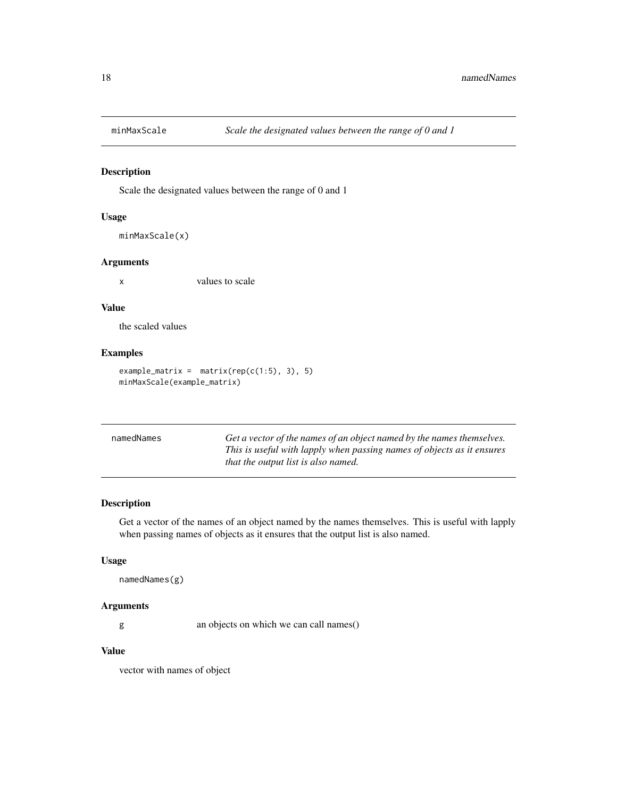<span id="page-17-0"></span>

### Description

Scale the designated values between the range of 0 and 1

#### Usage

```
minMaxScale(x)
```
### Arguments

x values to scale

### Value

the scaled values

## Examples

```
example_matrix = matrix(rep(c(1:5), 3), 5)minMaxScale(example_matrix)
```

| namedNames | Get a vector of the names of an object named by the names themselves.  |
|------------|------------------------------------------------------------------------|
|            | This is useful with lapply when passing names of objects as it ensures |
|            | that the output list is also named.                                    |

# Description

Get a vector of the names of an object named by the names themselves. This is useful with lapply when passing names of objects as it ensures that the output list is also named.

### Usage

```
namedNames(g)
```
### Arguments

g an objects on which we can call names()

## Value

vector with names of object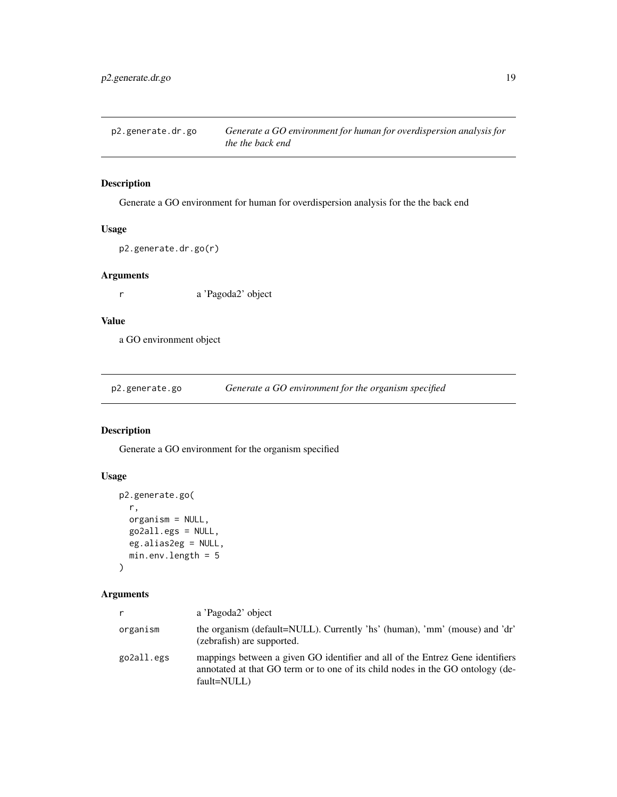<span id="page-18-0"></span>

# Description

Generate a GO environment for human for overdispersion analysis for the the back end

# Usage

```
p2.generate.dr.go(r)
```
### Arguments

r a 'Pagoda2' object

# Value

a GO environment object

p2.generate.go *Generate a GO environment for the organism specified*

# Description

Generate a GO environment for the organism specified

# Usage

```
p2.generate.go(
  r,
  organism = NULL,
  go2all.egs = NULL,
 eg.alias2eg = NULL,
 min.env.length = 5
)
```
# Arguments

| r          | a 'Pagoda2' object                                                                                                                                                             |
|------------|--------------------------------------------------------------------------------------------------------------------------------------------------------------------------------|
| organism   | the organism (default=NULL). Currently 'hs' (human), 'mm' (mouse) and 'dr'<br>(zebrafish) are supported.                                                                       |
| go2all.egs | mappings between a given GO identifier and all of the Entrez Gene identifiers<br>annotated at that GO term or to one of its child nodes in the GO ontology (de-<br>fault=NULL) |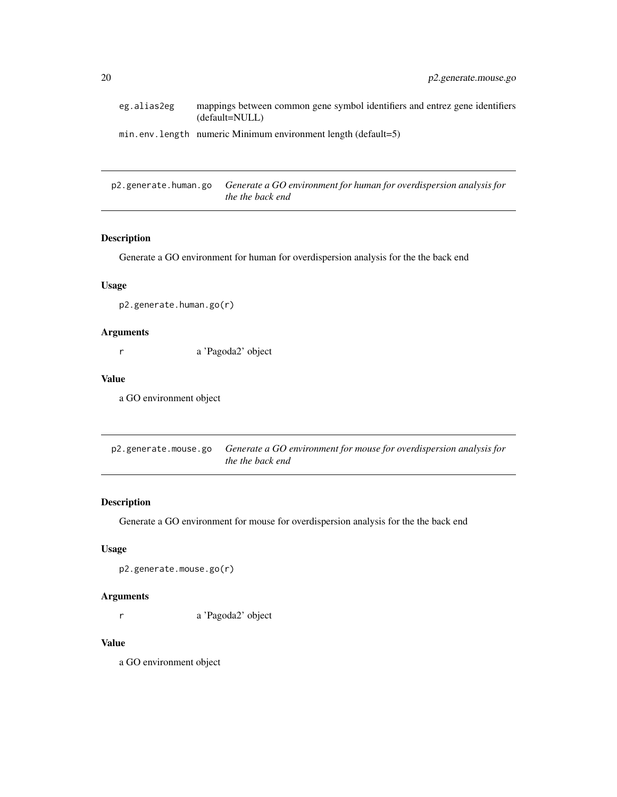<span id="page-19-0"></span>

| eg.alias2eg | mappings between common gene symbol identifiers and entrez gene identifiers<br>(default=NULL) |
|-------------|-----------------------------------------------------------------------------------------------|
|             | $min. env. length$ numeric Minimum environment length (default=5)                             |

p2.generate.human.go *Generate a GO environment for human for overdispersion analysis for the the back end*

# Description

Generate a GO environment for human for overdispersion analysis for the the back end

### Usage

p2.generate.human.go(r)

### Arguments

r a 'Pagoda2' object

### Value

a GO environment object

p2.generate.mouse.go *Generate a GO environment for mouse for overdispersion analysis for the the back end*

### Description

Generate a GO environment for mouse for overdispersion analysis for the the back end

### Usage

p2.generate.mouse.go(r)

# Arguments

r a 'Pagoda2' object

# Value

a GO environment object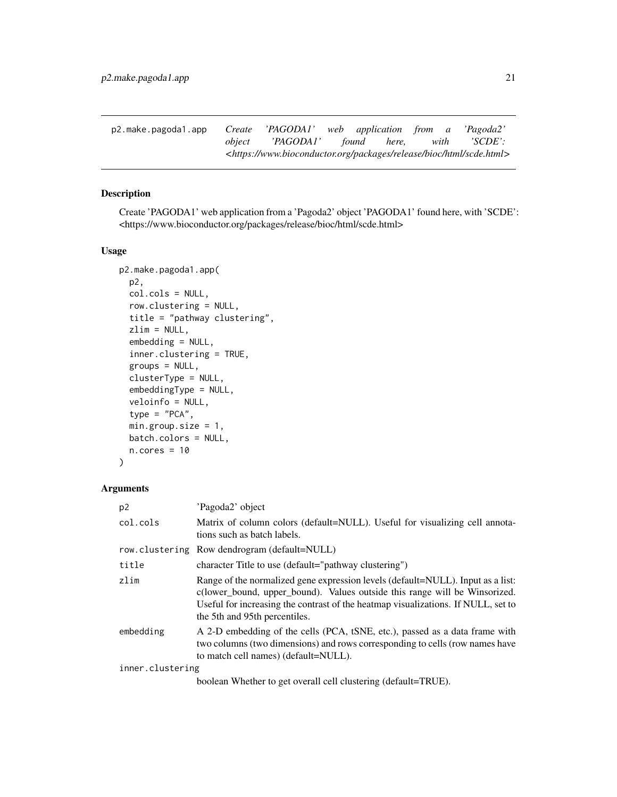<span id="page-20-0"></span>

| p2.make.pagoda1.app <i>Create 'PAGODA1'</i> web application from a 'Pagoda2' |                                                                                               |  |  |  |
|------------------------------------------------------------------------------|-----------------------------------------------------------------------------------------------|--|--|--|
|                                                                              | <i>object</i> 'PAGODA1' found here, with 'SCDE':                                              |  |  |  |
|                                                                              | <https: bioc="" html="" packages="" release="" scde.html="" www.bioconductor.org=""></https:> |  |  |  |

# Description

Create 'PAGODA1' web application from a 'Pagoda2' object 'PAGODA1' found here, with 'SCDE': <https://www.bioconductor.org/packages/release/bioc/html/scde.html>

### Usage

```
p2.make.pagoda1.app(
 p2,
  col.cols = NULL,
  row.clustering = NULL,
  title = "pathway clustering",
  zlim = NULL,
  embedding = NULL,
  inner.clustering = TRUE,
  groups = NULL,
  clusterType = NULL,
  embeddingType = NULL,
  veloinfo = NULL,
  type = "PCA",min.group.size = 1,
 batch.colors = NULL,
 n.core<sub>s</sub> = 10)
```
### Arguments

| p <sub>2</sub>   | 'Pagoda2' object                                                                                                                                                                                                                                                                    |
|------------------|-------------------------------------------------------------------------------------------------------------------------------------------------------------------------------------------------------------------------------------------------------------------------------------|
| col.cols         | Matrix of column colors (default=NULL). Useful for visualizing cell annota-<br>tions such as batch labels.                                                                                                                                                                          |
|                  | row.clustering Row dendrogram (default=NULL)                                                                                                                                                                                                                                        |
| title            | character Title to use (default="pathway clustering")                                                                                                                                                                                                                               |
| zlim             | Range of the normalized gene expression levels (default=NULL). Input as a list:<br>c(lower_bound, upper_bound). Values outside this range will be Winsorized.<br>Useful for increasing the contrast of the heatmap visualizations. If NULL, set to<br>the 5th and 95th percentiles. |
| embedding        | A 2-D embedding of the cells (PCA, tSNE, etc.), passed as a data frame with<br>two columns (two dimensions) and rows corresponding to cells (row names have<br>to match cell names) (default=NULL).                                                                                 |
| inner.clustering |                                                                                                                                                                                                                                                                                     |
|                  | $b$ ooleen Whether to get overall cell clustering $(dafoult-TDIF)$                                                                                                                                                                                                                  |

boolean Whether to get overall cell clustering (default=TRUE).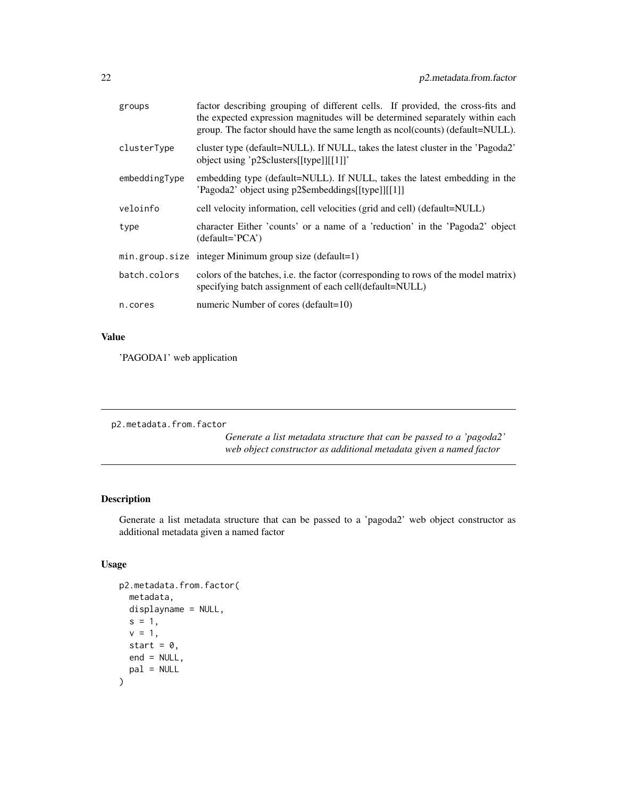<span id="page-21-0"></span>

| groups        | factor describing grouping of different cells. If provided, the cross-fits and<br>the expected expression magnitudes will be determined separately within each<br>group. The factor should have the same length as ncol(counts) (default=NULL). |
|---------------|-------------------------------------------------------------------------------------------------------------------------------------------------------------------------------------------------------------------------------------------------|
| clusterType   | cluster type (default=NULL). If NULL, takes the latest cluster in the 'Pagoda2'<br>object using 'p2\$clusters[[type]][[1]]'                                                                                                                     |
| embeddingType | embedding type (default=NULL). If NULL, takes the latest embedding in the<br>'Pagoda2' object using p2\$embeddings[[type]][[1]]                                                                                                                 |
| veloinfo      | cell velocity information, cell velocities (grid and cell) (default=NULL)                                                                                                                                                                       |
| type          | character Either 'counts' or a name of a 'reduction' in the 'Pagoda2' object<br>$(detault='PCA')$                                                                                                                                               |
|               | $min.group.size$ integer Minimum group size (default=1)                                                                                                                                                                                         |
| batch.colors  | colors of the batches, i.e. the factor (corresponding to rows of the model matrix)<br>specifying batch assignment of each cell(default=NULL)                                                                                                    |
| n.cores       | numeric Number of cores (default=10)                                                                                                                                                                                                            |
|               |                                                                                                                                                                                                                                                 |

# Value

'PAGODA1' web application

p2.metadata.from.factor

*Generate a list metadata structure that can be passed to a 'pagoda2' web object constructor as additional metadata given a named factor*

# Description

Generate a list metadata structure that can be passed to a 'pagoda2' web object constructor as additional metadata given a named factor

# Usage

```
p2.metadata.from.factor(
  metadata,
  displayname = NULL,
  s = 1,
  v = 1,
  start = 0,
  end = NULL,pal = NULL
\mathcal{E}
```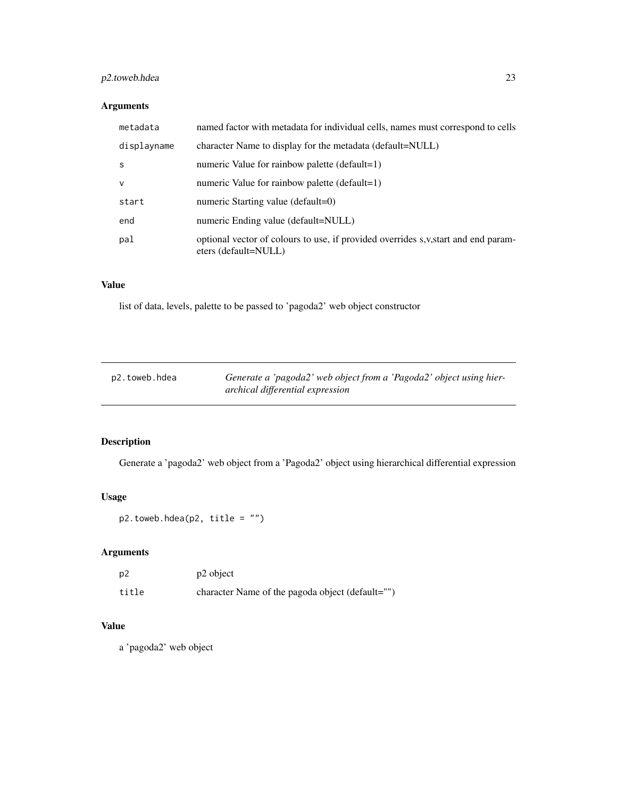# <span id="page-22-0"></span>p2.toweb.hdea 23

# Arguments

| metadata     | named factor with metadata for individual cells, names must correspond to cells                             |
|--------------|-------------------------------------------------------------------------------------------------------------|
| displayname  | character Name to display for the metadata (default=NULL)                                                   |
| -S           | numeric Value for rainbow palette (default=1)                                                               |
| $\mathsf{v}$ | numeric Value for rainbow palette (default=1)                                                               |
| start        | numeric Starting value (default=0)                                                                          |
| end          | numeric Ending value (default=NULL)                                                                         |
| pal          | optional vector of colours to use, if provided overrides s, v, start and end param-<br>eters (default=NULL) |

# Value

list of data, levels, palette to be passed to 'pagoda2' web object constructor

| p2.toweb.hdea | Generate a 'pagoda2' web object from a 'Pagoda2' object using hier- |
|---------------|---------------------------------------------------------------------|
|               | archical differential expression                                    |

# Description

Generate a 'pagoda2' web object from a 'Pagoda2' object using hierarchical differential expression

# Usage

p2.toweb.hdea(p2, title = "")

# Arguments

| p2    | p2 object                                        |
|-------|--------------------------------------------------|
| title | character Name of the pagoda object (default="") |

# Value

a 'pagoda2' web object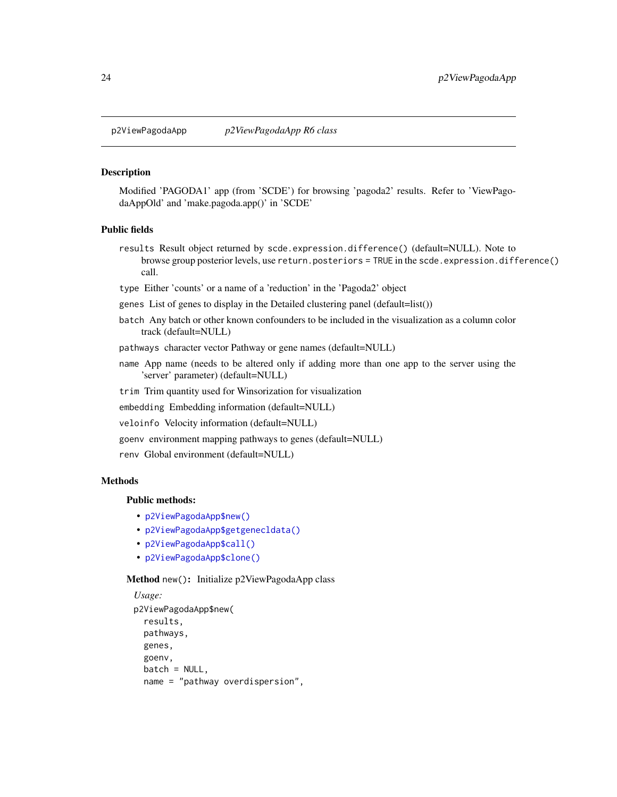<span id="page-23-0"></span>

#### Description

Modified 'PAGODA1' app (from 'SCDE') for browsing 'pagoda2' results. Refer to 'ViewPagodaAppOld' and 'make.pagoda.app()' in 'SCDE'

# Public fields

results Result object returned by scde.expression.difference() (default=NULL). Note to browse group posterior levels, use return.posteriors = TRUE in the scde.expression.difference() call.

type Either 'counts' or a name of a 'reduction' in the 'Pagoda2' object

genes List of genes to display in the Detailed clustering panel (default=list())

batch Any batch or other known confounders to be included in the visualization as a column color track (default=NULL)

pathways character vector Pathway or gene names (default=NULL)

- name App name (needs to be altered only if adding more than one app to the server using the 'server' parameter) (default=NULL)
- trim Trim quantity used for Winsorization for visualization
- embedding Embedding information (default=NULL)
- veloinfo Velocity information (default=NULL)
- goenv environment mapping pathways to genes (default=NULL)
- renv Global environment (default=NULL)

# Methods

#### Public methods:

- [p2ViewPagodaApp\\$new\(\)](#page-23-1)
- [p2ViewPagodaApp\\$getgenecldata\(\)](#page-24-0)
- [p2ViewPagodaApp\\$call\(\)](#page-24-1)
- [p2ViewPagodaApp\\$clone\(\)](#page-24-2)

<span id="page-23-1"></span>Method new(): Initialize p2ViewPagodaApp class

```
Usage:
p2ViewPagodaApp$new(
  results,
 pathways,
 genes,
 goenv,
 batch = NULL,name = "pathway overdispersion",
```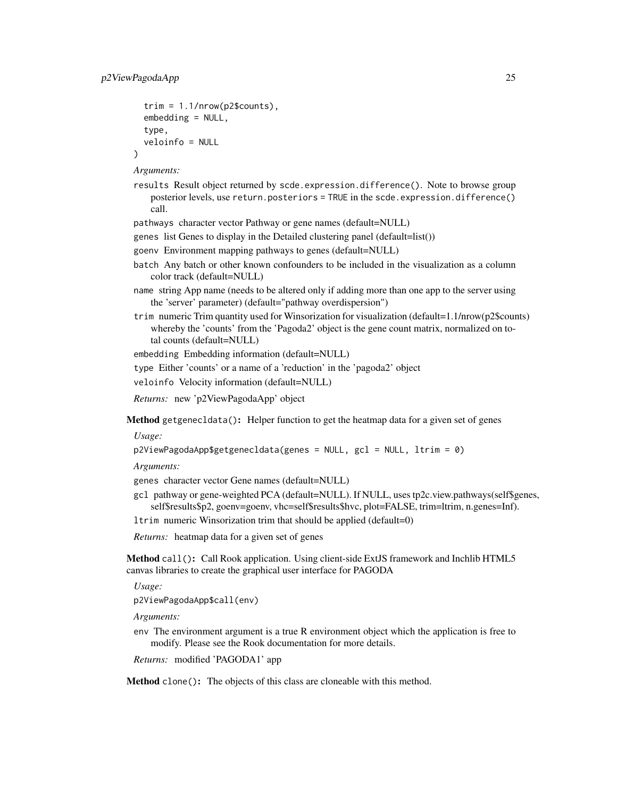)

```
trim = 1.1/nrow(p2$counts),embedding = NULL,
type,
veloinfo = NULL
```
*Arguments:*

- results Result object returned by scde.expression.difference(). Note to browse group posterior levels, use return.posteriors = TRUE in the scde.expression.difference() call.
- pathways character vector Pathway or gene names (default=NULL)
- genes list Genes to display in the Detailed clustering panel (default=list())
- goenv Environment mapping pathways to genes (default=NULL)
- batch Any batch or other known confounders to be included in the visualization as a column color track (default=NULL)
- name string App name (needs to be altered only if adding more than one app to the server using the 'server' parameter) (default="pathway overdispersion")
- trim numeric Trim quantity used for Winsorization for visualization (default=1.1/nrow(p2\$counts) whereby the 'counts' from the 'Pagoda2' object is the gene count matrix, normalized on total counts (default=NULL)

```
embedding Embedding information (default=NULL)
```

```
type Either 'counts' or a name of a 'reduction' in the 'pagoda2' object
```
veloinfo Velocity information (default=NULL)

*Returns:* new 'p2ViewPagodaApp' object

<span id="page-24-0"></span>Method getgenecldata(): Helper function to get the heatmap data for a given set of genes

*Usage:*

```
p2ViewPagodaApp$getgenecldata(genes = NULL, gcl = NULL, ltrim = 0)
```
*Arguments:*

genes character vector Gene names (default=NULL)

gcl pathway or gene-weighted PCA (default=NULL). If NULL, uses tp2c.view.pathways(self\$genes, self\$results\$p2, goenv=goenv, vhc=self\$results\$hvc, plot=FALSE, trim=ltrim, n.genes=Inf).

ltrim numeric Winsorization trim that should be applied (default=0)

*Returns:* heatmap data for a given set of genes

<span id="page-24-1"></span>Method call(): Call Rook application. Using client-side ExtJS framework and Inchlib HTML5 canvas libraries to create the graphical user interface for PAGODA

*Usage:*

p2ViewPagodaApp\$call(env)

*Arguments:*

env The environment argument is a true R environment object which the application is free to modify. Please see the Rook documentation for more details.

*Returns:* modified 'PAGODA1' app

<span id="page-24-2"></span>Method clone(): The objects of this class are cloneable with this method.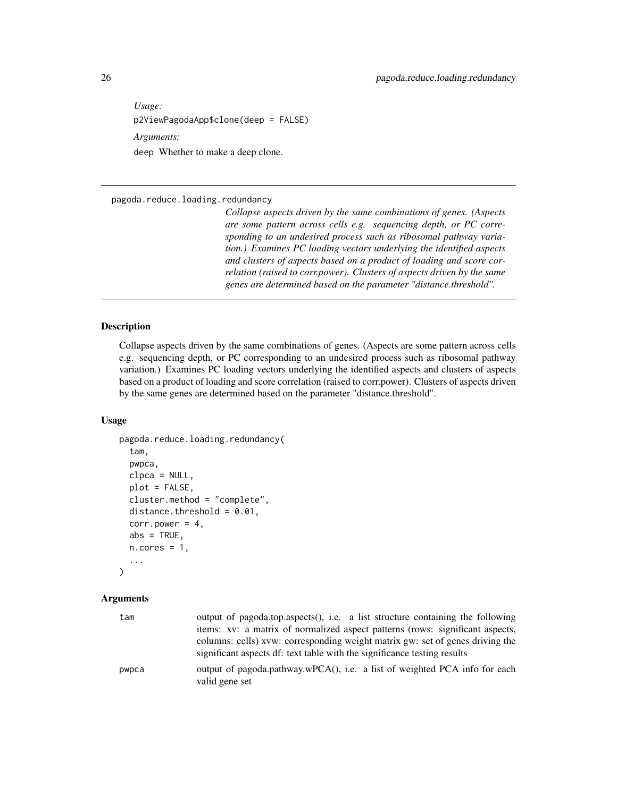<span id="page-25-0"></span>*Usage:* p2ViewPagodaApp\$clone(deep = FALSE) *Arguments:* deep Whether to make a deep clone.

pagoda.reduce.loading.redundancy

*Collapse aspects driven by the same combinations of genes. (Aspects are some pattern across cells e.g. sequencing depth, or PC corresponding to an undesired process such as ribosomal pathway variation.) Examines PC loading vectors underlying the identified aspects and clusters of aspects based on a product of loading and score correlation (raised to corr.power). Clusters of aspects driven by the same genes are determined based on the parameter "distance.threshold".*

# **Description**

Collapse aspects driven by the same combinations of genes. (Aspects are some pattern across cells e.g. sequencing depth, or PC corresponding to an undesired process such as ribosomal pathway variation.) Examines PC loading vectors underlying the identified aspects and clusters of aspects based on a product of loading and score correlation (raised to corr.power). Clusters of aspects driven by the same genes are determined based on the parameter "distance.threshold".

### Usage

```
pagoda.reduce.loading.redundancy(
  tam,
  pwpca,
  clpca = NULL,
 plot = FALSE,
  cluster.method = "complete",
  distance.threshold = 0.01,
  corr.power = 4,
  abs = TRUE,n.cores = 1,...
)
```
#### Arguments

| tam   | output of pagoda.top.aspects(), i.e. a list structure containing the following<br>items: xv: a matrix of normalized aspect patterns (rows: significant aspects,<br>columns: cells) xvw: corresponding weight matrix gw: set of genes driving the<br>significant aspects df: text table with the significance testing results |
|-------|------------------------------------------------------------------------------------------------------------------------------------------------------------------------------------------------------------------------------------------------------------------------------------------------------------------------------|
| pwpca | output of pagoda.pathway.wPCA(), i.e. a list of weighted PCA info for each<br>valid gene set                                                                                                                                                                                                                                 |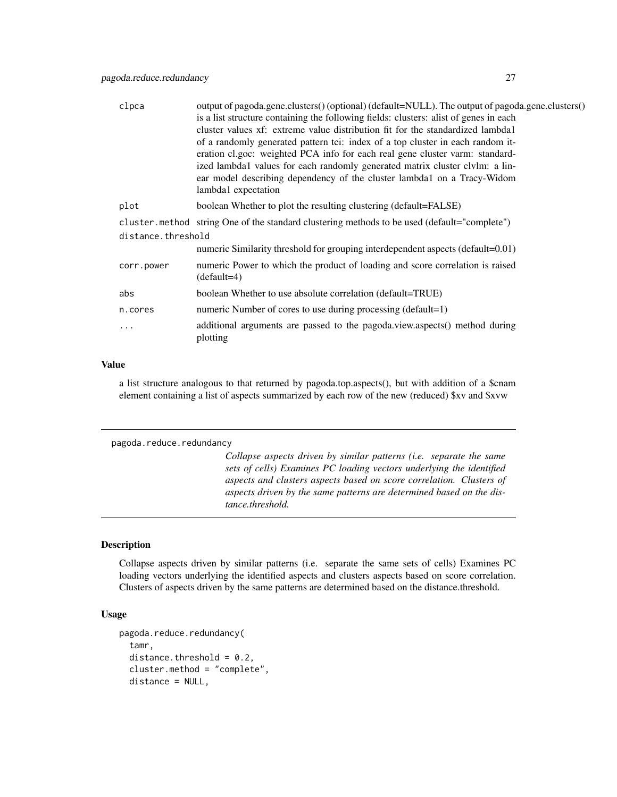<span id="page-26-0"></span>

| output of pagoda.gene.clusters() (optional) (default=NULL). The output of pagoda.gene.clusters()<br>is a list structure containing the following fields: clusters: alist of genes in each<br>cluster values xf: extreme value distribution fit for the standardized lambdal<br>of a randomly generated pattern tci: index of a top cluster in each random it-<br>eration cl.goc: weighted PCA info for each real gene cluster varm: standard-<br>ized lambda1 values for each randomly generated matrix cluster clvlm: a lin-<br>ear model describing dependency of the cluster lambdal on a Tracy-Widom<br>lambda1 expectation |  |  |
|---------------------------------------------------------------------------------------------------------------------------------------------------------------------------------------------------------------------------------------------------------------------------------------------------------------------------------------------------------------------------------------------------------------------------------------------------------------------------------------------------------------------------------------------------------------------------------------------------------------------------------|--|--|
| boolean Whether to plot the resulting clustering (default=FALSE)                                                                                                                                                                                                                                                                                                                                                                                                                                                                                                                                                                |  |  |
| cluster method string One of the standard clustering methods to be used (default="complete")                                                                                                                                                                                                                                                                                                                                                                                                                                                                                                                                    |  |  |
| distance.threshold                                                                                                                                                                                                                                                                                                                                                                                                                                                                                                                                                                                                              |  |  |
| numeric Similarity threshold for grouping interdependent aspects (default=0.01)                                                                                                                                                                                                                                                                                                                                                                                                                                                                                                                                                 |  |  |
| numeric Power to which the product of loading and score correlation is raised<br>$(default=4)$                                                                                                                                                                                                                                                                                                                                                                                                                                                                                                                                  |  |  |
| boolean Whether to use absolute correlation (default=TRUE)                                                                                                                                                                                                                                                                                                                                                                                                                                                                                                                                                                      |  |  |
| numeric Number of cores to use during processing (default=1)                                                                                                                                                                                                                                                                                                                                                                                                                                                                                                                                                                    |  |  |
| additional arguments are passed to the pagoda.view.aspects() method during<br>plotting                                                                                                                                                                                                                                                                                                                                                                                                                                                                                                                                          |  |  |
|                                                                                                                                                                                                                                                                                                                                                                                                                                                                                                                                                                                                                                 |  |  |

### Value

a list structure analogous to that returned by pagoda.top.aspects(), but with addition of a \$cnam element containing a list of aspects summarized by each row of the new (reduced) \$xv and \$xvw

```
pagoda.reduce.redundancy
```
*Collapse aspects driven by similar patterns (i.e. separate the same sets of cells) Examines PC loading vectors underlying the identified aspects and clusters aspects based on score correlation. Clusters of aspects driven by the same patterns are determined based on the distance.threshold.*

#### Description

Collapse aspects driven by similar patterns (i.e. separate the same sets of cells) Examines PC loading vectors underlying the identified aspects and clusters aspects based on score correlation. Clusters of aspects driven by the same patterns are determined based on the distance.threshold.

# Usage

```
pagoda.reduce.redundancy(
  tamr,
  distance.threshold = 0.2,
  cluster.method = "complete",
  distance = NULL,
```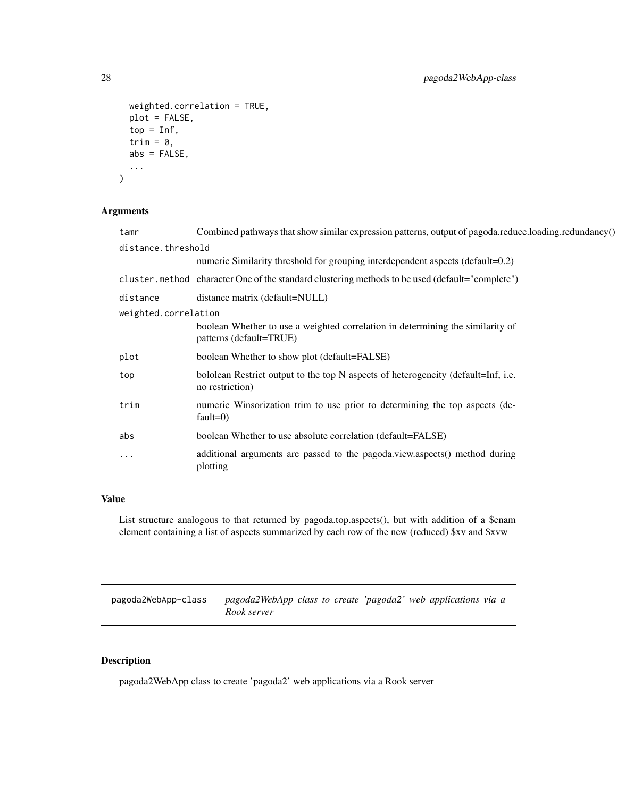```
weighted.correlation = TRUE,
 plot = FALSE,
  top = Inf,trim = 0,
  abs = FALSE,
  ...
\mathcal{L}
```
# Arguments

| tamr                 | Combined pathways that show similar expression patterns, output of pagoda.reduce.loading.redundancy()     |  |
|----------------------|-----------------------------------------------------------------------------------------------------------|--|
| distance.threshold   |                                                                                                           |  |
|                      | numeric Similarity threshold for grouping interdependent aspects (default=0.2)                            |  |
|                      | cluster.method character One of the standard clustering methods to be used (default="complete")           |  |
| distance             | distance matrix (default=NULL)                                                                            |  |
| weighted.correlation |                                                                                                           |  |
|                      | boolean Whether to use a weighted correlation in determining the similarity of<br>patterns (default=TRUE) |  |
| plot                 | boolean Whether to show plot (default=FALSE)                                                              |  |
| top                  | bololean Restrict output to the top N aspects of heterogeneity (default=Inf, i.e.<br>no restriction)      |  |
| trim                 | numeric Winsorization trim to use prior to determining the top aspects (de-<br>fault= $0$ )               |  |
| abs                  | boolean Whether to use absolute correlation (default=FALSE)                                               |  |
| $\cdot$              | additional arguments are passed to the pagoda.view.aspects() method during<br>plotting                    |  |

# Value

List structure analogous to that returned by pagoda.top.aspects(), but with addition of a \$cnam element containing a list of aspects summarized by each row of the new (reduced) \$xv and \$xvw

pagoda2WebApp-class *pagoda2WebApp class to create 'pagoda2' web applications via a Rook server*

# Description

pagoda2WebApp class to create 'pagoda2' web applications via a Rook server

<span id="page-27-0"></span>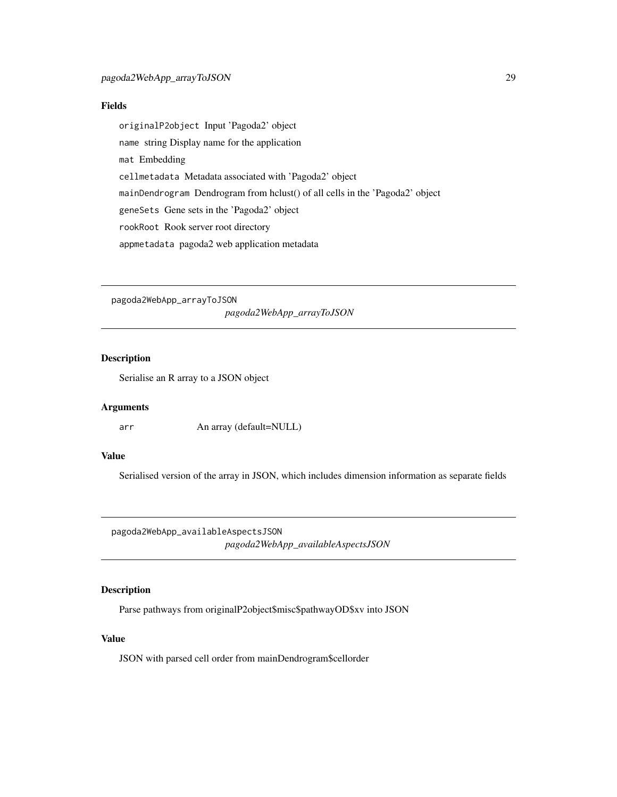### <span id="page-28-0"></span>Fields

originalP2object Input 'Pagoda2' object name string Display name for the application mat Embedding cellmetadata Metadata associated with 'Pagoda2' object mainDendrogram Dendrogram from hclust() of all cells in the 'Pagoda2' object geneSets Gene sets in the 'Pagoda2' object rookRoot Rook server root directory appmetadata pagoda2 web application metadata

pagoda2WebApp\_arrayToJSON *pagoda2WebApp\_arrayToJSON*

### Description

Serialise an R array to a JSON object

### Arguments

arr An array (default=NULL)

# Value

Serialised version of the array in JSON, which includes dimension information as separate fields

pagoda2WebApp\_availableAspectsJSON *pagoda2WebApp\_availableAspectsJSON*

### Description

Parse pathways from originalP2object\$misc\$pathwayOD\$xv into JSON

### Value

JSON with parsed cell order from mainDendrogram\$cellorder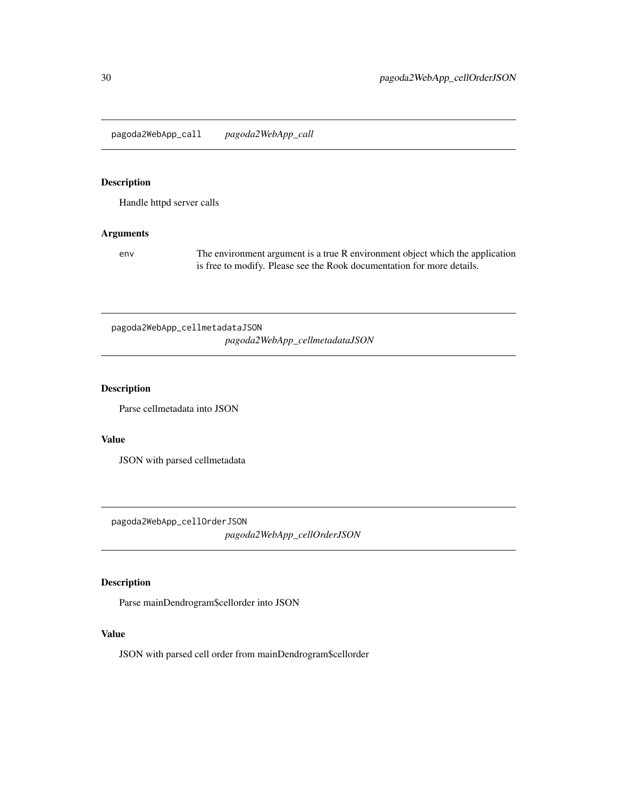<span id="page-29-0"></span>pagoda2WebApp\_call *pagoda2WebApp\_call*

# Description

Handle httpd server calls

# Arguments

env The environment argument is a true R environment object which the application is free to modify. Please see the Rook documentation for more details.

pagoda2WebApp\_cellmetadataJSON *pagoda2WebApp\_cellmetadataJSON*

### Description

Parse cellmetadata into JSON

### Value

JSON with parsed cellmetadata

pagoda2WebApp\_cellOrderJSON

*pagoda2WebApp\_cellOrderJSON*

# Description

Parse mainDendrogram\$cellorder into JSON

### Value

JSON with parsed cell order from mainDendrogram\$cellorder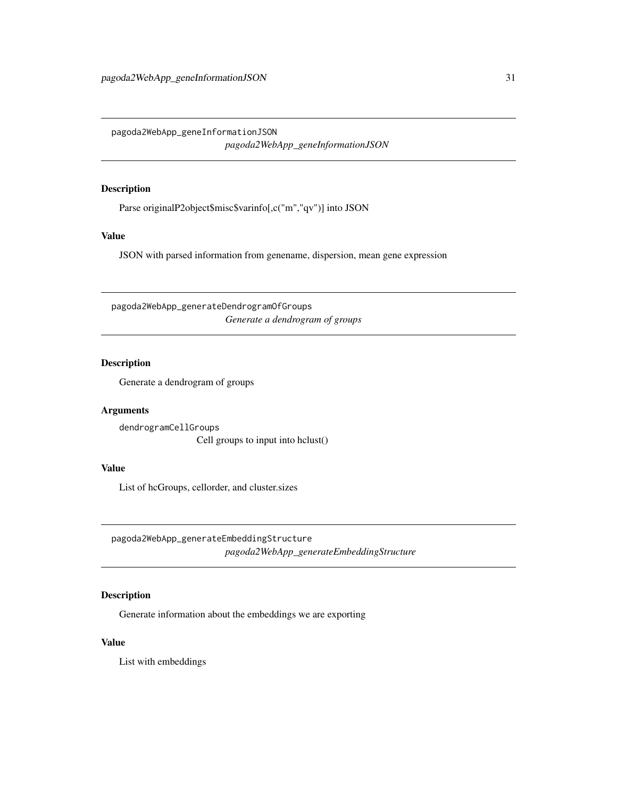<span id="page-30-0"></span>pagoda2WebApp\_geneInformationJSON *pagoda2WebApp\_geneInformationJSON*

# Description

Parse originalP2object\$misc\$varinfo[,c("m","qv")] into JSON

### Value

JSON with parsed information from genename, dispersion, mean gene expression

pagoda2WebApp\_generateDendrogramOfGroups *Generate a dendrogram of groups*

### Description

Generate a dendrogram of groups

# Arguments

dendrogramCellGroups Cell groups to input into hclust()

# Value

List of hcGroups, cellorder, and cluster.sizes

pagoda2WebApp\_generateEmbeddingStructure *pagoda2WebApp\_generateEmbeddingStructure*

# Description

Generate information about the embeddings we are exporting

### Value

List with embeddings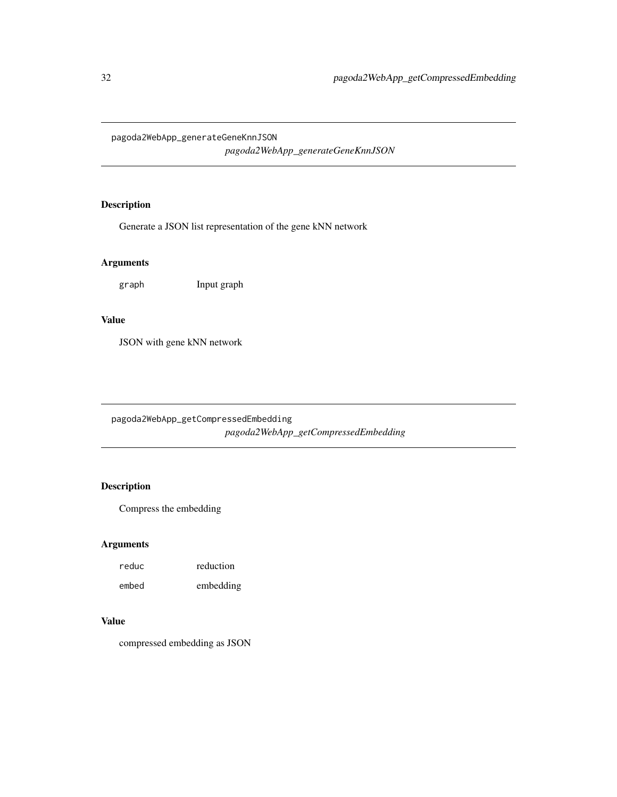<span id="page-31-0"></span>pagoda2WebApp\_generateGeneKnnJSON

*pagoda2WebApp\_generateGeneKnnJSON*

# Description

Generate a JSON list representation of the gene kNN network

# Arguments

graph Input graph

### Value

JSON with gene kNN network

pagoda2WebApp\_getCompressedEmbedding *pagoda2WebApp\_getCompressedEmbedding*

# Description

Compress the embedding

# Arguments

| reduc | reduction |
|-------|-----------|
| embed | embedding |

# Value

compressed embedding as JSON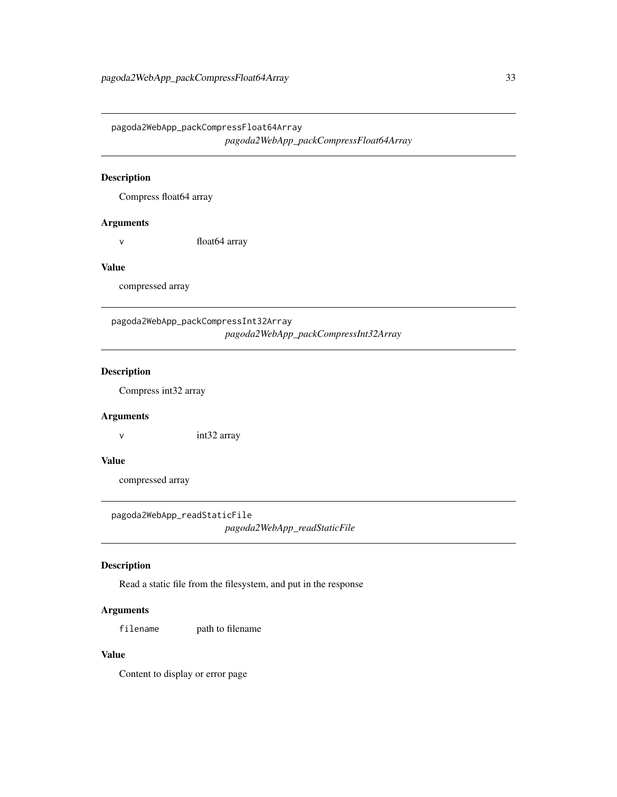<span id="page-32-0"></span>pagoda2WebApp\_packCompressFloat64Array *pagoda2WebApp\_packCompressFloat64Array*

# Description

Compress float64 array

### Arguments

v float 64 array

### Value

compressed array

pagoda2WebApp\_packCompressInt32Array *pagoda2WebApp\_packCompressInt32Array*

# Description

Compress int32 array

### Arguments

v int32 array

### Value

compressed array

pagoda2WebApp\_readStaticFile

*pagoda2WebApp\_readStaticFile*

### Description

Read a static file from the filesystem, and put in the response

### Arguments

filename path to filename

# Value

Content to display or error page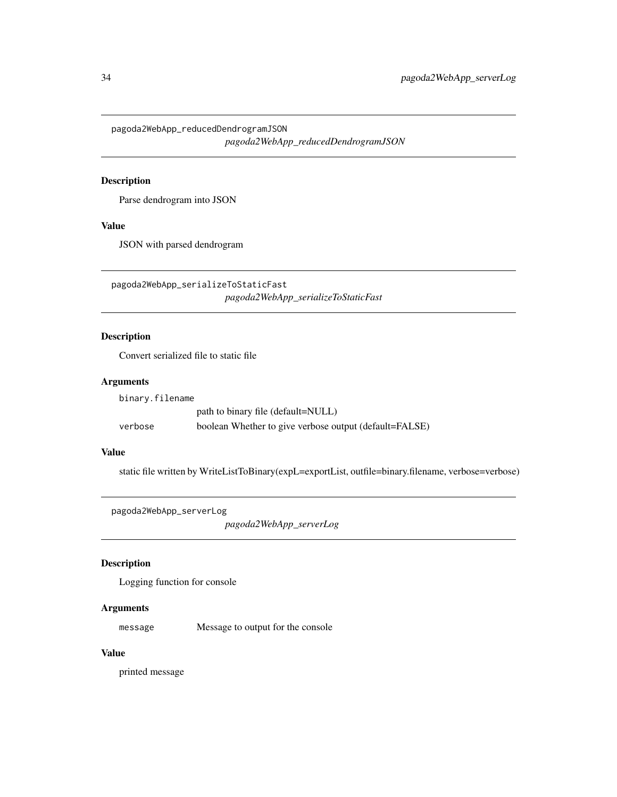<span id="page-33-0"></span>pagoda2WebApp\_reducedDendrogramJSON *pagoda2WebApp\_reducedDendrogramJSON*

# Description

Parse dendrogram into JSON

### Value

JSON with parsed dendrogram

pagoda2WebApp\_serializeToStaticFast *pagoda2WebApp\_serializeToStaticFast*

### Description

Convert serialized file to static file

# Arguments

| binary.filename |                                                        |
|-----------------|--------------------------------------------------------|
|                 | path to binary file (default=NULL)                     |
| verbose         | boolean Whether to give verbose output (default=FALSE) |

### Value

static file written by WriteListToBinary(expL=exportList, outfile=binary.filename, verbose=verbose)

```
pagoda2WebApp_serverLog
```
*pagoda2WebApp\_serverLog*

# Description

Logging function for console

### Arguments

message Message to output for the console

### Value

printed message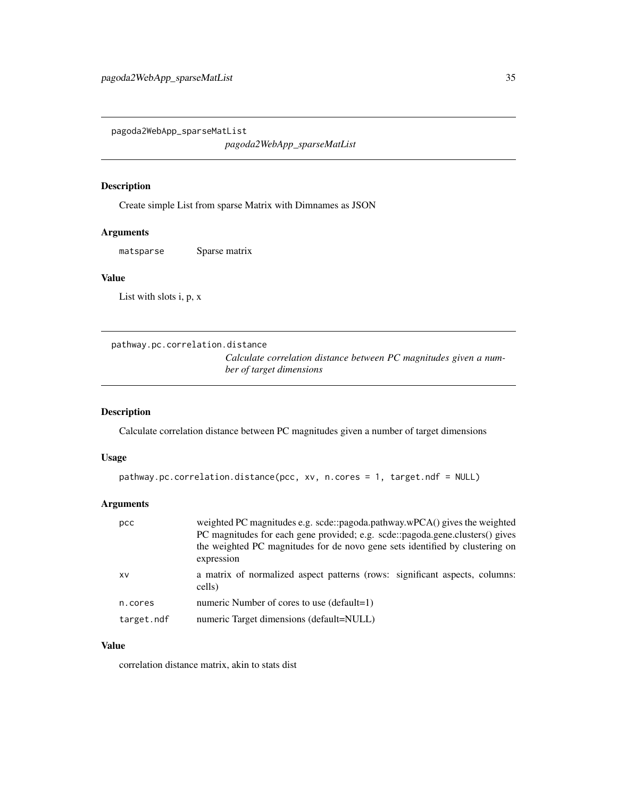<span id="page-34-0"></span>pagoda2WebApp\_sparseMatList

*pagoda2WebApp\_sparseMatList*

### Description

Create simple List from sparse Matrix with Dimnames as JSON

# Arguments

matsparse Sparse matrix

## Value

List with slots i, p, x

```
pathway.pc.correlation.distance
```
*Calculate correlation distance between PC magnitudes given a number of target dimensions*

### Description

Calculate correlation distance between PC magnitudes given a number of target dimensions

### Usage

```
pathway.pc.correlation.distance(pcc, xv, n.cores = 1, target.ndf = NULL)
```
# Arguments

| pcc        | weighted PC magnitudes e.g. scde::pagoda.pathway.wPCA() gives the weighted<br>PC magnitudes for each gene provided; e.g. scde::pagoda.gene.clusters() gives<br>the weighted PC magnitudes for de novo gene sets identified by clustering on<br>expression |  |
|------------|-----------------------------------------------------------------------------------------------------------------------------------------------------------------------------------------------------------------------------------------------------------|--|
| XV         | a matrix of normalized aspect patterns (rows: significant aspects, columns:<br>cells)                                                                                                                                                                     |  |
| n.cores    | numeric Number of cores to use (default=1)                                                                                                                                                                                                                |  |
| target.ndf | numeric Target dimensions (default=NULL)                                                                                                                                                                                                                  |  |

# Value

correlation distance matrix, akin to stats dist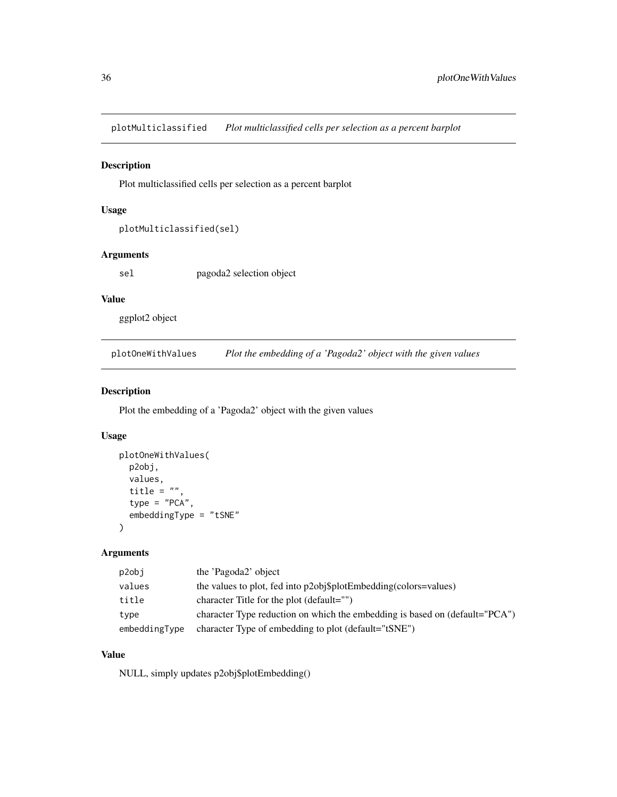<span id="page-35-0"></span>plotMulticlassified *Plot multiclassified cells per selection as a percent barplot*

### Description

Plot multiclassified cells per selection as a percent barplot

# Usage

```
plotMulticlassified(sel)
```
# Arguments

sel pagoda2 selection object

# Value

ggplot2 object

plotOneWithValues *Plot the embedding of a 'Pagoda2' object with the given values*

# Description

Plot the embedding of a 'Pagoda2' object with the given values

### Usage

```
plotOneWithValues(
  p2obj,
  values,
  title = ",
  type = "PCA",
  embeddingType = "tSNE"
)
```
# Arguments

| p2obj         | the 'Pagoda2' object                                                        |
|---------------|-----------------------------------------------------------------------------|
| values        | the values to plot, fed into p2obj\$plotEmbedding(colors=values)            |
| title         | character Title for the plot (default="")                                   |
| type          | character Type reduction on which the embedding is based on (default="PCA") |
| embeddingType | character Type of embedding to plot (default="tSNE")                        |

# Value

NULL, simply updates p2obj\$plotEmbedding()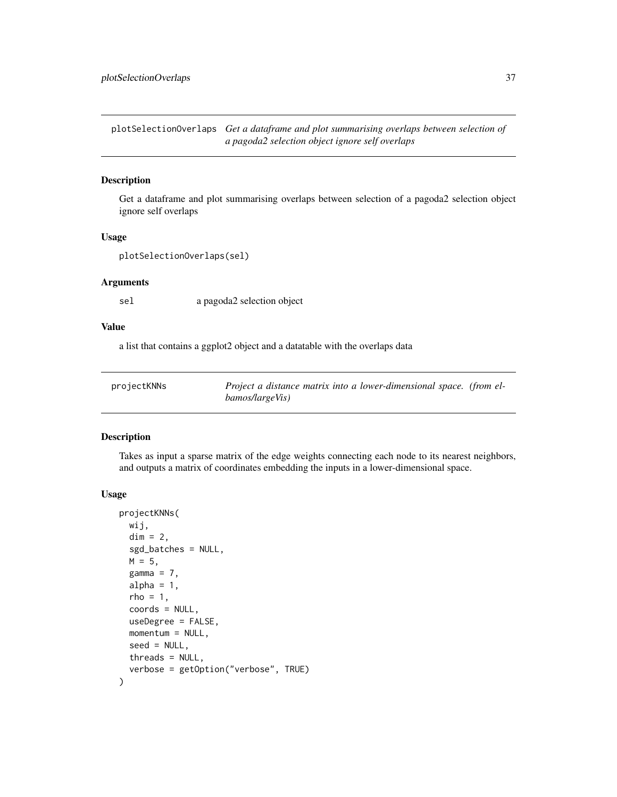<span id="page-36-0"></span>plotSelectionOverlaps *Get a dataframe and plot summarising overlaps between selection of a pagoda2 selection object ignore self overlaps*

### Description

Get a dataframe and plot summarising overlaps between selection of a pagoda2 selection object ignore self overlaps

### Usage

```
plotSelectionOverlaps(sel)
```
# Arguments

sel a pagoda2 selection object

# Value

a list that contains a ggplot2 object and a datatable with the overlaps data

| projectKNNs | Project a distance matrix into a lower-dimensional space. (from el- |
|-------------|---------------------------------------------------------------------|
|             | bamos/largeVis)                                                     |

# Description

Takes as input a sparse matrix of the edge weights connecting each node to its nearest neighbors, and outputs a matrix of coordinates embedding the inputs in a lower-dimensional space.

#### Usage

```
projectKNNs(
  wij,
  dim = 2,
  sgd_batches = NULL,
  M = 5,
  gamma = 7,alpha = 1,
  rho = 1,
  coords = NULL,
  useDegree = FALSE,
 momentum = NULL,
  seed = NULL,
  threads = NULL,
  verbose = getOption("verbose", TRUE)
)
```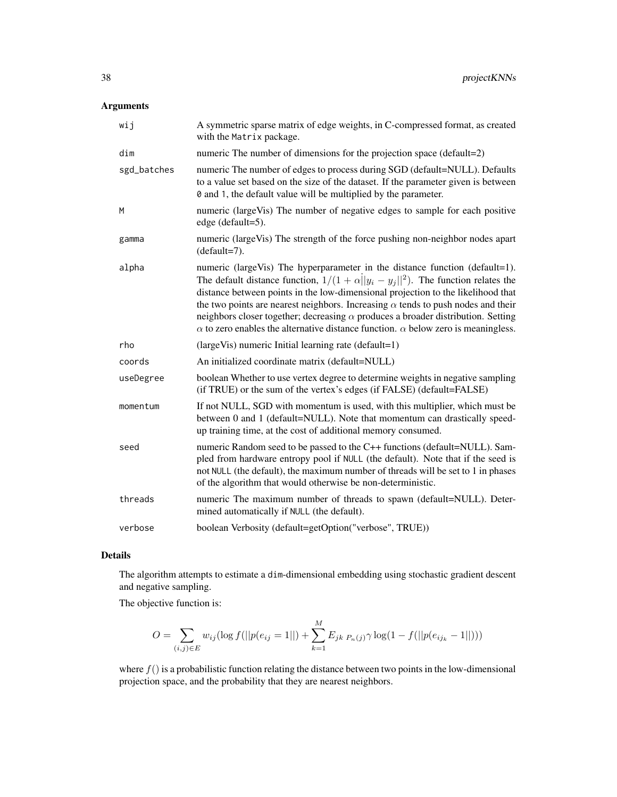# Arguments

| wij         | A symmetric sparse matrix of edge weights, in C-compressed format, as created<br>with the Matrix package.                                                                                                                                                                                                                                                                                                                                                                                                                                              |
|-------------|--------------------------------------------------------------------------------------------------------------------------------------------------------------------------------------------------------------------------------------------------------------------------------------------------------------------------------------------------------------------------------------------------------------------------------------------------------------------------------------------------------------------------------------------------------|
| dim         | numeric The number of dimensions for the projection space (default=2)                                                                                                                                                                                                                                                                                                                                                                                                                                                                                  |
| sgd_batches | numeric The number of edges to process during SGD (default=NULL). Defaults<br>to a value set based on the size of the dataset. If the parameter given is between<br>0 and 1, the default value will be multiplied by the parameter.                                                                                                                                                                                                                                                                                                                    |
| M           | numeric (largeVis) The number of negative edges to sample for each positive<br>edge (default=5).                                                                                                                                                                                                                                                                                                                                                                                                                                                       |
| gamma       | numeric (largeVis) The strength of the force pushing non-neighbor nodes apart<br>$(detault=7)$ .                                                                                                                                                                                                                                                                                                                                                                                                                                                       |
| alpha       | numeric (largeVis) The hyperparameter in the distance function (default=1).<br>The default distance function, $1/(1 + \alpha   y_i - y_j  ^2)$ . The function relates the<br>distance between points in the low-dimensional projection to the likelihood that<br>the two points are nearest neighbors. Increasing $\alpha$ tends to push nodes and their<br>neighbors closer together; decreasing $\alpha$ produces a broader distribution. Setting<br>$\alpha$ to zero enables the alternative distance function. $\alpha$ below zero is meaningless. |
| rho         | $\langle \text{largeVis} \rangle$ numeric Initial learning rate $\langle \text{default=1} \rangle$                                                                                                                                                                                                                                                                                                                                                                                                                                                     |
| coords      | An initialized coordinate matrix (default=NULL)                                                                                                                                                                                                                                                                                                                                                                                                                                                                                                        |
| useDegree   | boolean Whether to use vertex degree to determine weights in negative sampling<br>(if TRUE) or the sum of the vertex's edges (if FALSE) (default=FALSE)                                                                                                                                                                                                                                                                                                                                                                                                |
| momentum    | If not NULL, SGD with momentum is used, with this multiplier, which must be<br>between 0 and 1 (default=NULL). Note that momentum can drastically speed-<br>up training time, at the cost of additional memory consumed.                                                                                                                                                                                                                                                                                                                               |
| seed        | numeric Random seed to be passed to the C++ functions (default=NULL). Sam-<br>pled from hardware entropy pool if NULL (the default). Note that if the seed is<br>not NULL (the default), the maximum number of threads will be set to 1 in phases<br>of the algorithm that would otherwise be non-deterministic.                                                                                                                                                                                                                                       |
| threads     | numeric The maximum number of threads to spawn (default=NULL). Deter-<br>mined automatically if NULL (the default).                                                                                                                                                                                                                                                                                                                                                                                                                                    |
| verbose     | boolean Verbosity (default=getOption("verbose", TRUE))                                                                                                                                                                                                                                                                                                                                                                                                                                                                                                 |

### Details

The algorithm attempts to estimate a dim-dimensional embedding using stochastic gradient descent and negative sampling.

The objective function is:

$$
O = \sum_{(i,j)\in E} w_{ij} (\log f(||p(e_{ij} = 1||) + \sum_{k=1}^{M} E_{jk} P_{n}(j) \gamma \log(1 - f(||p(e_{ij_k} - 1||)))
$$

where  $f()$  is a probabilistic function relating the distance between two points in the low-dimensional projection space, and the probability that they are nearest neighbors.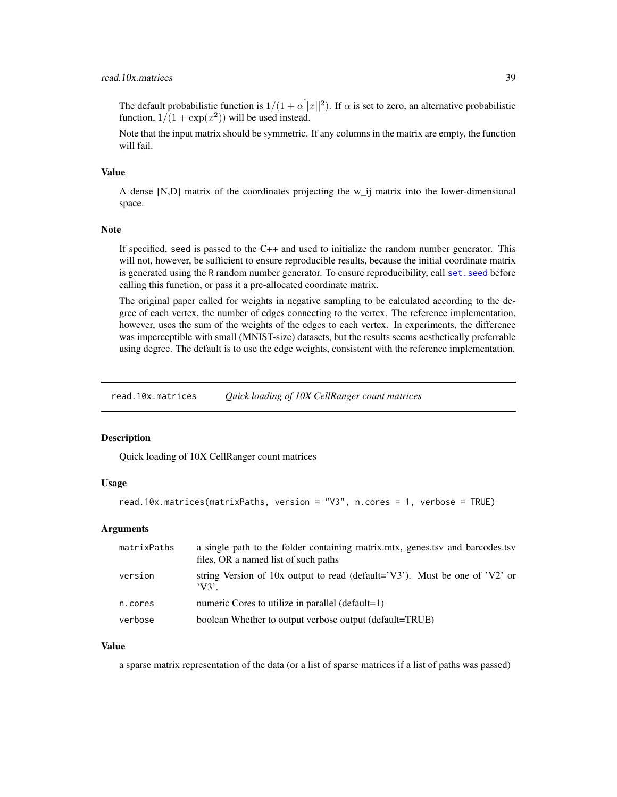## <span id="page-38-0"></span>read.10x.matrices 39

The default probabilistic function is  $1/(1 + \alpha ||x||^2)$ . If  $\alpha$  is set to zero, an alternative probabilistic function,  $1/(1 + \exp(x^2))$  will be used instead.

Note that the input matrix should be symmetric. If any columns in the matrix are empty, the function will fail.

#### Value

A dense [N,D] matrix of the coordinates projecting the w\_ij matrix into the lower-dimensional space.

#### Note

If specified, seed is passed to the  $C++$  and used to initialize the random number generator. This will not, however, be sufficient to ensure reproducible results, because the initial coordinate matrix is generated using the R random number generator. To ensure reproducibility, call set, seed before calling this function, or pass it a pre-allocated coordinate matrix.

The original paper called for weights in negative sampling to be calculated according to the degree of each vertex, the number of edges connecting to the vertex. The reference implementation, however, uses the sum of the weights of the edges to each vertex. In experiments, the difference was imperceptible with small (MNIST-size) datasets, but the results seems aesthetically preferrable using degree. The default is to use the edge weights, consistent with the reference implementation.

read.10x.matrices *Quick loading of 10X CellRanger count matrices*

### Description

Quick loading of 10X CellRanger count matrices

#### Usage

```
read.10x.matrices(matrixPaths, version = "V3", n.cores = 1, verbose = TRUE)
```
### Arguments

| matrixPaths | a single path to the folder containing matrix, mtx, genes, tsy and barcodes, tsy<br>files, OR a named list of such paths |
|-------------|--------------------------------------------------------------------------------------------------------------------------|
| version     | string Version of 10x output to read (default= $'V3'$ ). Must be one of $'V2'$ or<br>'V3'                                |
| n.cores     | numeric Cores to utilize in parallel $(default=1)$                                                                       |
| verbose     | boolean Whether to output verbose output (default=TRUE)                                                                  |

### Value

a sparse matrix representation of the data (or a list of sparse matrices if a list of paths was passed)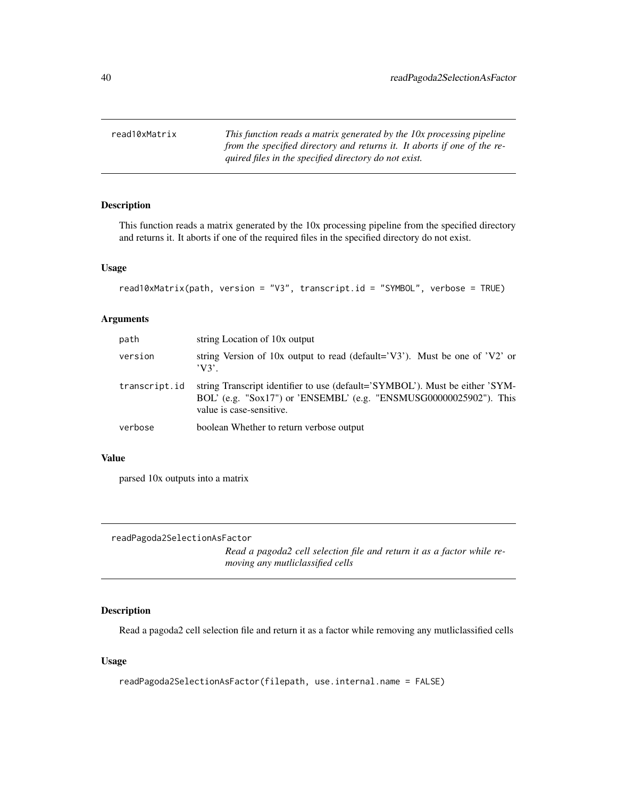<span id="page-39-0"></span>read10xMatrix *This function reads a matrix generated by the 10x processing pipeline from the specified directory and returns it. It aborts if one of the required files in the specified directory do not exist.*

# Description

This function reads a matrix generated by the 10x processing pipeline from the specified directory and returns it. It aborts if one of the required files in the specified directory do not exist.

#### Usage

```
read10xMatrix(path, version = "V3", transcript.id = "SYMBOL", verbose = TRUE)
```
#### Arguments

| path          | string Location of 10x output                                                                                                                                                  |
|---------------|--------------------------------------------------------------------------------------------------------------------------------------------------------------------------------|
| version       | string Version of 10x output to read (default= $'V3'$ ). Must be one of $'V2'$ or<br>$'V3'$ .                                                                                  |
| transcript.id | string Transcript identifier to use (default='SYMBOL'). Must be either 'SYM-<br>BOL' (e.g. "Sox17") or 'ENSEMBL' (e.g. "ENSMUSG00000025902"). This<br>value is case-sensitive. |
| verbose       | boolean Whether to return verbose output                                                                                                                                       |

### Value

parsed 10x outputs into a matrix

readPagoda2SelectionAsFactor

*Read a pagoda2 cell selection file and return it as a factor while removing any mutliclassified cells*

### Description

Read a pagoda2 cell selection file and return it as a factor while removing any mutliclassified cells

### Usage

```
readPagoda2SelectionAsFactor(filepath, use.internal.name = FALSE)
```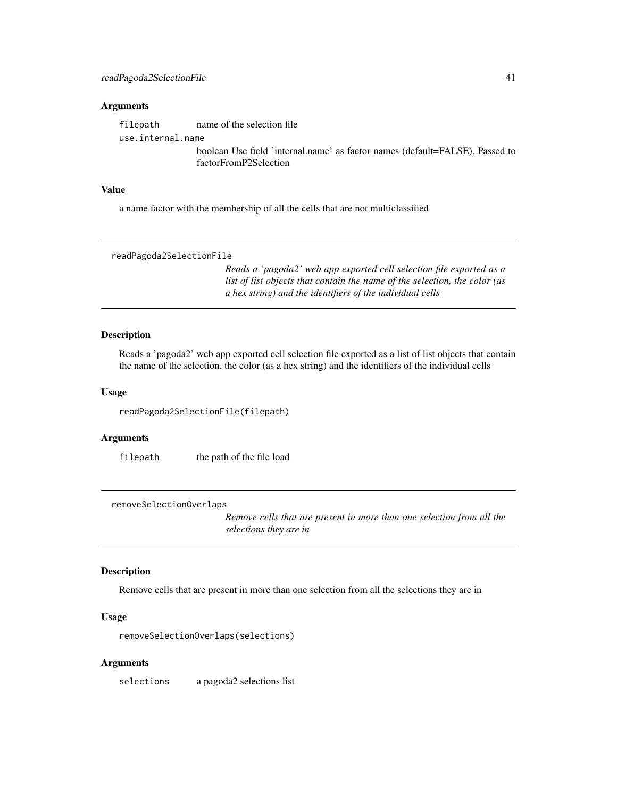#### <span id="page-40-0"></span>**Arguments**

filepath name of the selection file

use.internal.name

boolean Use field 'internal.name' as factor names (default=FALSE). Passed to factorFromP2Selection

### Value

a name factor with the membership of all the cells that are not multiclassified

readPagoda2SelectionFile

*Reads a 'pagoda2' web app exported cell selection file exported as a list of list objects that contain the name of the selection, the color (as a hex string) and the identifiers of the individual cells*

#### Description

Reads a 'pagoda2' web app exported cell selection file exported as a list of list objects that contain the name of the selection, the color (as a hex string) and the identifiers of the individual cells

### Usage

readPagoda2SelectionFile(filepath)

### Arguments

filepath the path of the file load

removeSelectionOverlaps

*Remove cells that are present in more than one selection from all the selections they are in*

#### Description

Remove cells that are present in more than one selection from all the selections they are in

### Usage

removeSelectionOverlaps(selections)

### Arguments

selections a pagoda2 selections list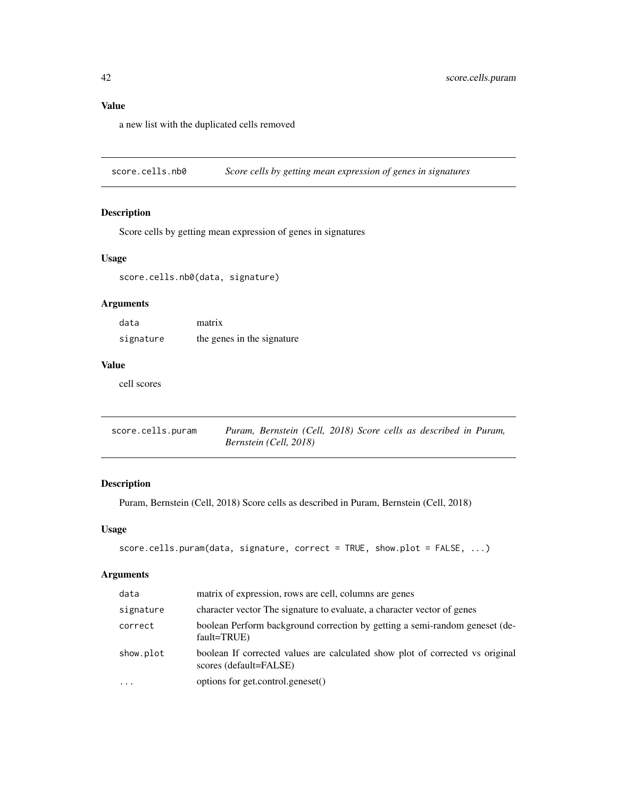# <span id="page-41-0"></span>Value

a new list with the duplicated cells removed

score.cells.nb0 *Score cells by getting mean expression of genes in signatures*

# Description

Score cells by getting mean expression of genes in signatures

# Usage

score.cells.nb0(data, signature)

# Arguments

| data      | matrix                     |
|-----------|----------------------------|
| signature | the genes in the signature |

# Value

cell scores

| score.cells.puram |                        |  |  | Puram, Bernstein (Cell, 2018) Score cells as described in Puram, |  |
|-------------------|------------------------|--|--|------------------------------------------------------------------|--|
|                   | Bernstein (Cell, 2018) |  |  |                                                                  |  |

# Description

Puram, Bernstein (Cell, 2018) Score cells as described in Puram, Bernstein (Cell, 2018)

# Usage

```
score.cells.puram(data, signature, correct = TRUE, show.plot = FALSE, ...)
```
# Arguments

| data      | matrix of expression, rows are cell, columns are genes                                                  |
|-----------|---------------------------------------------------------------------------------------------------------|
| signature | character vector The signature to evaluate, a character vector of genes                                 |
| correct   | boolean Perform background correction by getting a semi-random geneset (de-<br>fault=TRUE)              |
| show.plot | boolean If corrected values are calculated show plot of corrected vs original<br>scores (default=FALSE) |
| $\ddotsc$ | options for get.control.geneset()                                                                       |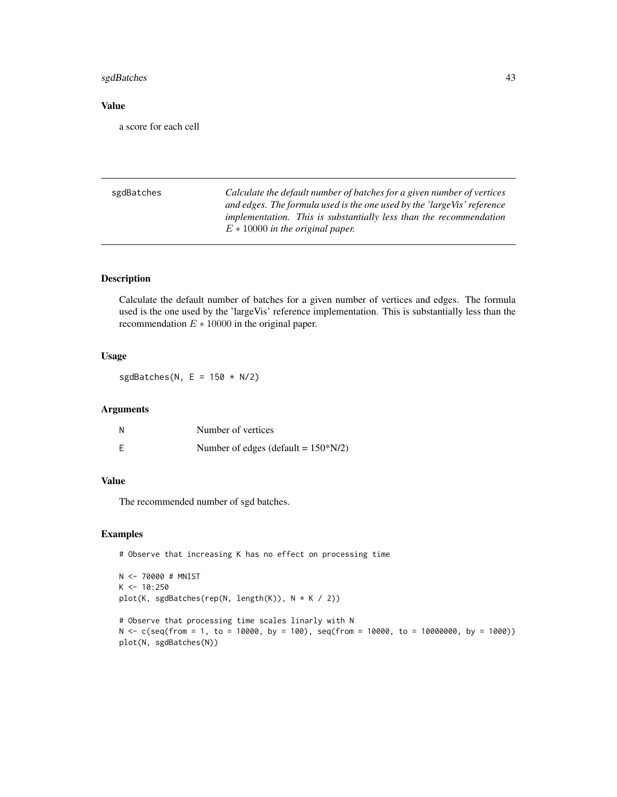# <span id="page-42-0"></span>sgdBatches 43

### Value

a score for each cell

sgdBatches *Calculate the default number of batches for a given number of vertices and edges. The formula used is the one used by the 'largeVis' reference implementation. This is substantially less than the recommendation* E ∗ 10000 *in the original paper.*

#### Description

Calculate the default number of batches for a given number of vertices and edges. The formula used is the one used by the 'largeVis' reference implementation. This is substantially less than the recommendation  $E * 10000$  in the original paper.

#### Usage

sgdBatches(N,  $E = 150 \times N/2$ )

# Arguments

|   | Number of vertices                     |
|---|----------------------------------------|
| E | Number of edges (default = $150*N/2$ ) |

#### Value

The recommended number of sgd batches.

#### Examples

```
# Observe that increasing K has no effect on processing time
```

```
N <- 70000 # MNIST
K < -10:250plot(K, sgdBatches(rep(N, length(K)), N * K / 2))
# Observe that processing time scales linarly with N
N <- c(seq(from = 1, to = 10000, by = 100), seq(from = 10000, to = 10000000, by = 1000))
plot(N, sgdBatches(N))
```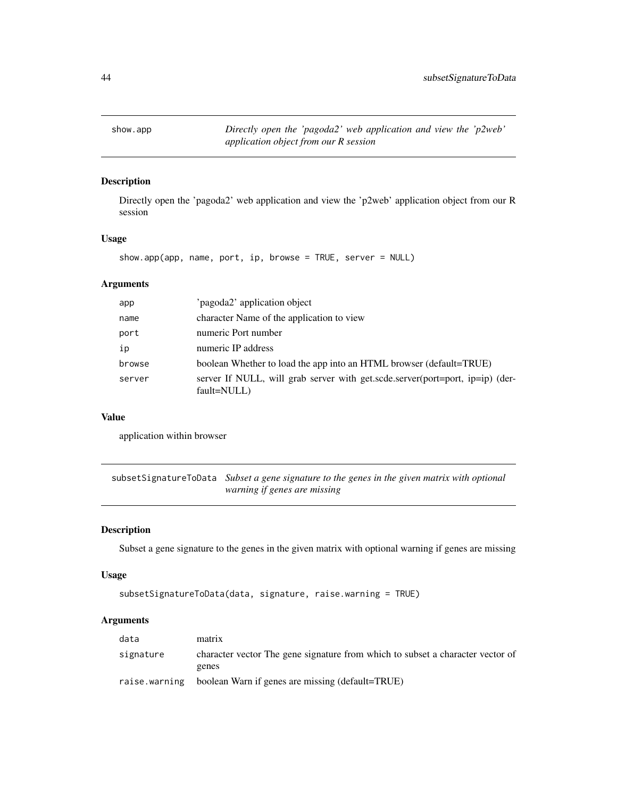<span id="page-43-0"></span>show.app *Directly open the 'pagoda2' web application and view the 'p2web' application object from our R session*

# Description

Directly open the 'pagoda2' web application and view the 'p2web' application object from our R session

### Usage

show.app(app, name, port, ip, browse = TRUE, server = NULL)

### Arguments

| app    | 'pagoda2' application object                                                                 |
|--------|----------------------------------------------------------------------------------------------|
| name   | character Name of the application to view                                                    |
| port   | numeric Port number                                                                          |
| ip     | numeric IP address                                                                           |
| browse | boolean Whether to load the app into an HTML browser (default=TRUE)                          |
| server | server If NULL, will grab server with get.scde.server(port=port, ip=ip) (der-<br>fault=NULL) |

#### Value

application within browser

subsetSignatureToData *Subset a gene signature to the genes in the given matrix with optional warning if genes are missing*

### Description

Subset a gene signature to the genes in the given matrix with optional warning if genes are missing

# Usage

```
subsetSignatureToData(data, signature, raise.warning = TRUE)
```
### Arguments

| data          | matrix                                                                         |
|---------------|--------------------------------------------------------------------------------|
| signature     | character vector The gene signature from which to subset a character vector of |
|               | genes                                                                          |
| raise.warning | boolean Warn if genes are missing (default=TRUE)                               |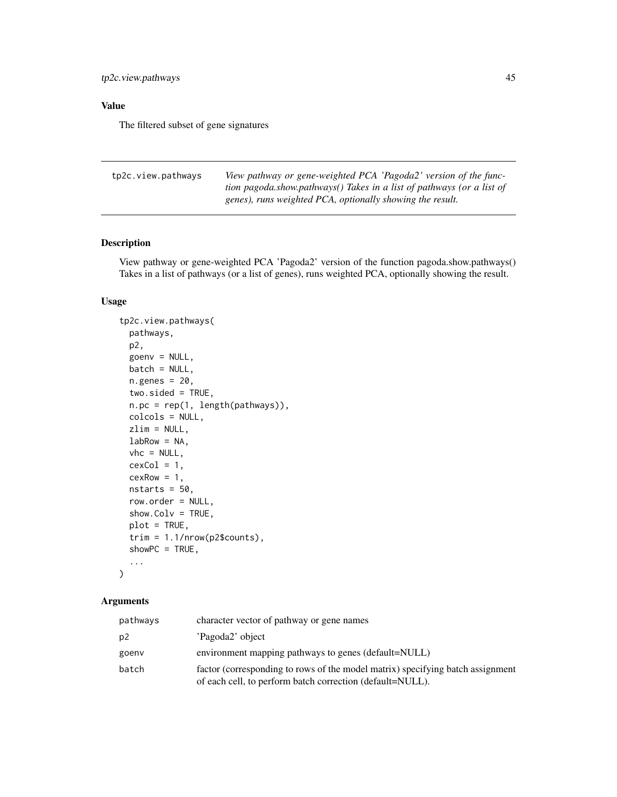# <span id="page-44-0"></span>Value

The filtered subset of gene signatures

| tp2c.view.pathways | View pathway or gene-weighted PCA 'Pagoda2' version of the func-      |
|--------------------|-----------------------------------------------------------------------|
|                    | tion pagoda.show.pathways() Takes in a list of pathways (or a list of |
|                    | genes), runs weighted PCA, optionally showing the result.             |

# Description

View pathway or gene-weighted PCA 'Pagoda2' version of the function pagoda.show.pathways() Takes in a list of pathways (or a list of genes), runs weighted PCA, optionally showing the result.

# Usage

```
tp2c.view.pathways(
 pathways,
 p2,
 goenv = NULL,
 batch = NULL,n.genes = 20,
  two.sided = TRUE,
 n.pc = rep(1, length(pathways)),
 colcols = NULL,
 zlim = NULL,
 labRow = NA,vhc = NULL,
 cexCol = 1,
 cexRow = 1,
 nstarts = 50,
 row.order = NULL,
  show.Colv = TRUE,plot = TRUE,
  trim = 1.1/nrow(p2$counts),showPC = TRUE,...
)
```
### Arguments

| pathways | character vector of pathway or gene names                                                                                                   |
|----------|---------------------------------------------------------------------------------------------------------------------------------------------|
| p2       | 'Pagoda2' object                                                                                                                            |
| goenv    | environment mapping pathways to genes (default=NULL)                                                                                        |
| batch    | factor (corresponding to rows of the model matrix) specifying batch assignment<br>of each cell, to perform batch correction (default=NULL). |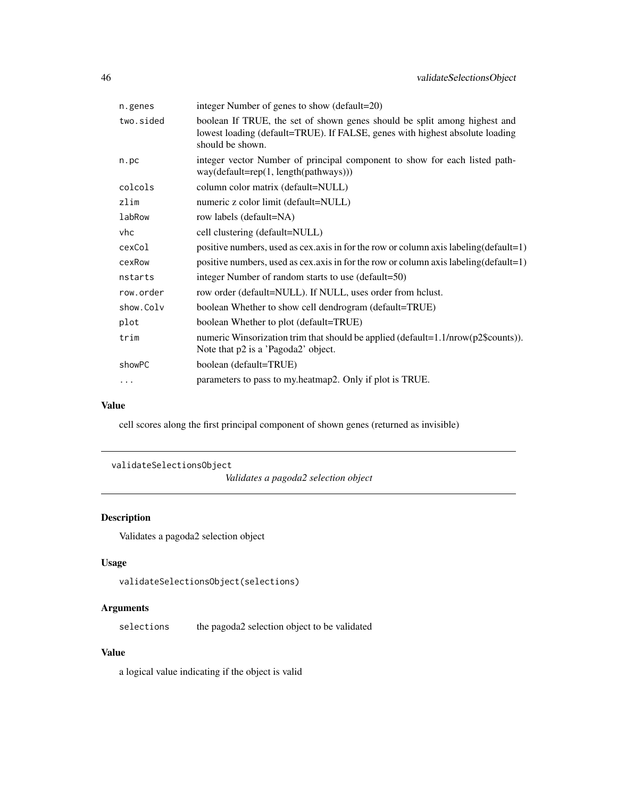<span id="page-45-0"></span>

| n.genes   | integer Number of genes to show (default=20)                                                                                                                                  |
|-----------|-------------------------------------------------------------------------------------------------------------------------------------------------------------------------------|
| two.sided | boolean If TRUE, the set of shown genes should be split among highest and<br>lowest loading (default=TRUE). If FALSE, genes with highest absolute loading<br>should be shown. |
| n.pc      | integer vector Number of principal component to show for each listed path-<br>$way(default = rep(1, length(pathways)))$                                                       |
| colcols   | column color matrix (default=NULL)                                                                                                                                            |
| zlim      | numeric z color limit (default=NULL)                                                                                                                                          |
| labRow    | row labels (default=NA)                                                                                                                                                       |
| vhc       | cell clustering (default=NULL)                                                                                                                                                |
| cexCol    | positive numbers, used as cex.axis in for the row or column axis labeling (default=1)                                                                                         |
| cexRow    | positive numbers, used as cex.axis in for the row or column axis labeling (default=1)                                                                                         |
| nstarts   | integer Number of random starts to use (default=50)                                                                                                                           |
| row.order | row order (default=NULL). If NULL, uses order from hclust.                                                                                                                    |
| show.Colv | boolean Whether to show cell dendrogram (default=TRUE)                                                                                                                        |
| plot      | boolean Whether to plot (default=TRUE)                                                                                                                                        |
| trim      | numeric Winsorization trim that should be applied (default=1.1/nrow(p2\$counts)).<br>Note that p2 is a 'Pagoda2' object.                                                      |
| showPC    | boolean (default=TRUE)                                                                                                                                                        |
| $\ddots$  | parameters to pass to my.heatmap2. Only if plot is TRUE.                                                                                                                      |
|           |                                                                                                                                                                               |

# Value

cell scores along the first principal component of shown genes (returned as invisible)

```
validateSelectionsObject
```
*Validates a pagoda2 selection object*

# Description

Validates a pagoda2 selection object

# Usage

```
validateSelectionsObject(selections)
```
# Arguments

selections the pagoda2 selection object to be validated

### Value

a logical value indicating if the object is valid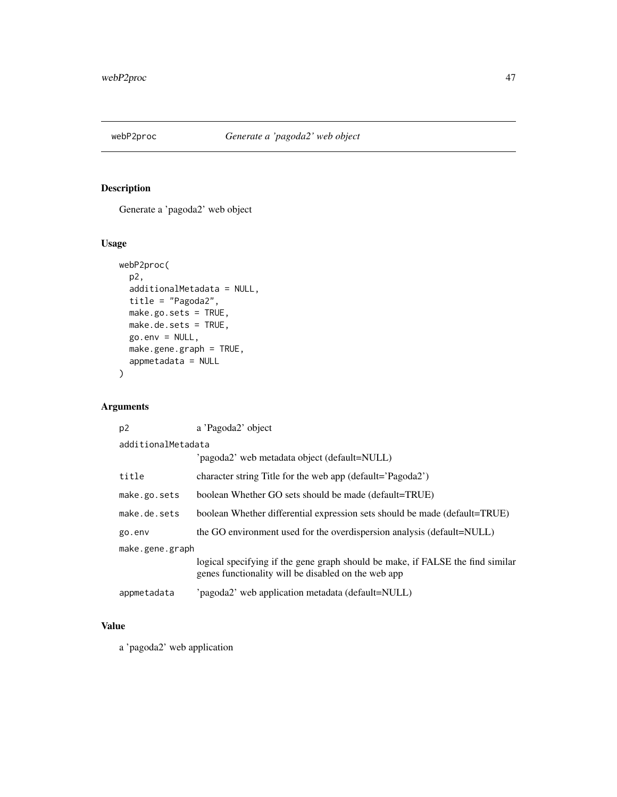<span id="page-46-0"></span>

# Description

Generate a 'pagoda2' web object

# Usage

```
webP2proc(
 p2,
 additionalMetadata = NULL,
 title = "Pagoda2",
 make.go.sets = TRUE,
 make.de.sets = TRUE,
 go.env = NULL,
 make.gene.graph = TRUE,
 appmetadata = NULL
)
```
# Arguments

| p <sub>2</sub>     | a 'Pagoda2' object                                                                                                                    |
|--------------------|---------------------------------------------------------------------------------------------------------------------------------------|
| additionalMetadata |                                                                                                                                       |
|                    | 'pagoda2' web metadata object (default=NULL)                                                                                          |
| title              | character string Title for the web app (default='Pagoda2')                                                                            |
| make.go.sets       | boolean Whether GO sets should be made (default=TRUE)                                                                                 |
| make.de.sets       | boolean Whether differential expression sets should be made (default=TRUE)                                                            |
| go.env             | the GO environment used for the overdispersion analysis (default=NULL)                                                                |
| make.gene.graph    |                                                                                                                                       |
|                    | logical specifying if the gene graph should be make, if FALSE the find similar<br>genes functionality will be disabled on the web app |
| appmetadata        | 'pagoda2' web application metadata (default=NULL)                                                                                     |

# Value

a 'pagoda2' web application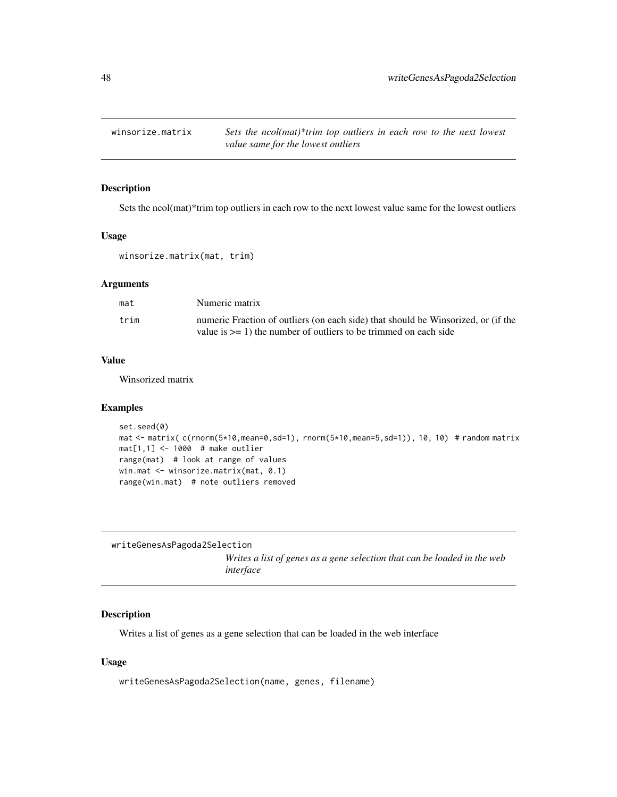<span id="page-47-0"></span>winsorize.matrix *Sets the ncol(mat)\*trim top outliers in each row to the next lowest value same for the lowest outliers*

### Description

Sets the ncol(mat)\*trim top outliers in each row to the next lowest value same for the lowest outliers

### Usage

winsorize.matrix(mat, trim)

#### Arguments

| mat  | Numeric matrix                                                                    |
|------|-----------------------------------------------------------------------------------|
| trim | numeric Fraction of outliers (on each side) that should be Winsorized, or (if the |
|      | value is $>= 1$ ) the number of outliers to be trimmed on each side               |

### Value

Winsorized matrix

#### Examples

```
set.seed(0)
mat <- matrix( c(rnorm(5*10,mean=0,sd=1), rnorm(5*10,mean=5,sd=1)), 10, 10) # random matrix
mat[1,1] <- 1000 # make outlier
range(mat) # look at range of values
win.mat <- winsorize.matrix(mat, 0.1)
range(win.mat) # note outliers removed
```
writeGenesAsPagoda2Selection *Writes a list of genes as a gene selection that can be loaded in the web interface*

# Description

Writes a list of genes as a gene selection that can be loaded in the web interface

### Usage

writeGenesAsPagoda2Selection(name, genes, filename)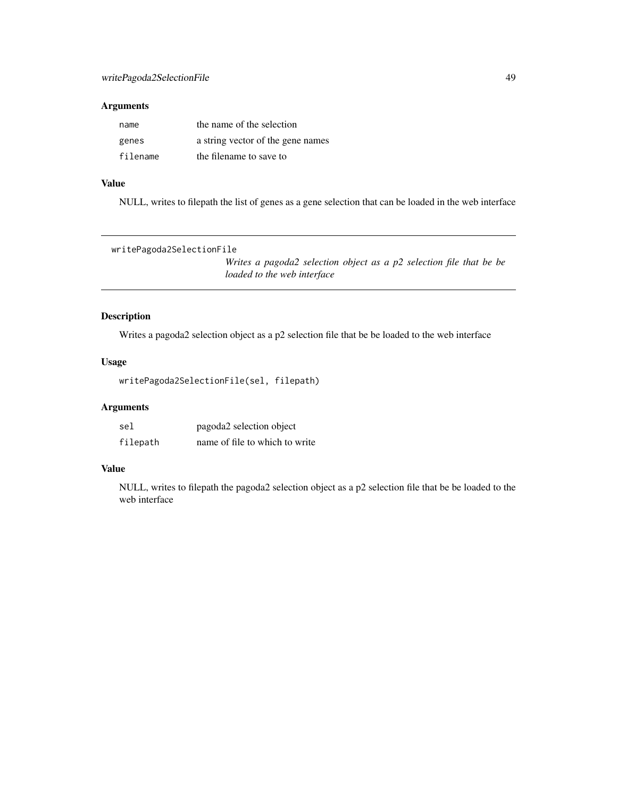### <span id="page-48-0"></span>Arguments

| name     | the name of the selection         |
|----------|-----------------------------------|
| genes    | a string vector of the gene names |
| filename | the filename to save to           |

# Value

NULL, writes to filepath the list of genes as a gene selection that can be loaded in the web interface

```
writePagoda2SelectionFile
```
*Writes a pagoda2 selection object as a p2 selection file that be be loaded to the web interface*

# Description

Writes a pagoda2 selection object as a p2 selection file that be be loaded to the web interface

### Usage

```
writePagoda2SelectionFile(sel, filepath)
```
# Arguments

| sel      | pagoda2 selection object       |
|----------|--------------------------------|
| filepath | name of file to which to write |

### Value

NULL, writes to filepath the pagoda2 selection object as a p2 selection file that be be loaded to the web interface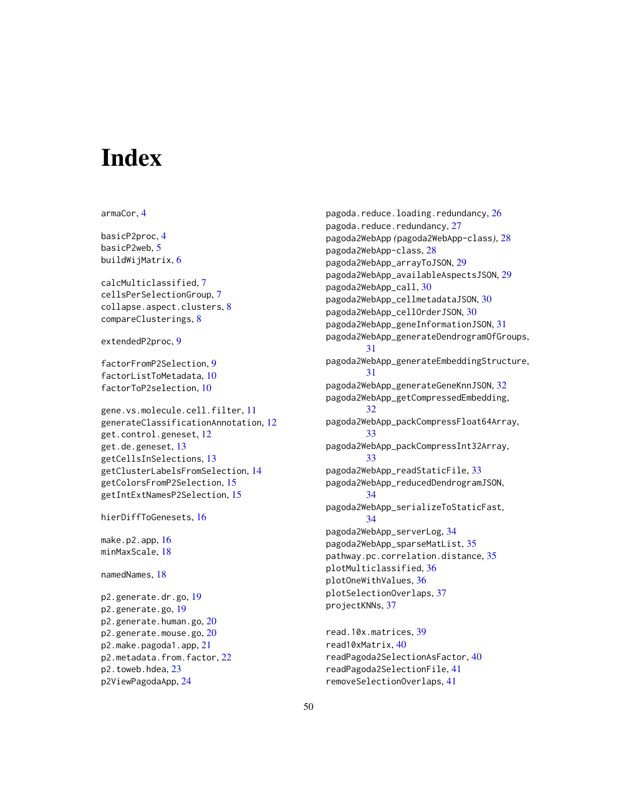# <span id="page-49-0"></span>**Index**

armaCor, [4](#page-3-0)

basicP2proc, [4](#page-3-0) basicP2web, [5](#page-4-0) buildWijMatrix, [6](#page-5-0)

calcMulticlassified, [7](#page-6-0) cellsPerSelectionGroup, [7](#page-6-0) collapse.aspect.clusters, [8](#page-7-0) compareClusterings, [8](#page-7-0)

extendedP2proc, [9](#page-8-0)

factorFromP2Selection, [9](#page-8-0) factorListToMetadata, [10](#page-9-0) factorToP2selection, [10](#page-9-0)

gene.vs.molecule.cell.filter, [11](#page-10-0) generateClassificationAnnotation, [12](#page-11-0) get.control.geneset, [12](#page-11-0) get.de.geneset, [13](#page-12-0) getCellsInSelections, [13](#page-12-0) getClusterLabelsFromSelection, [14](#page-13-0) getColorsFromP2Selection, [15](#page-14-0) getIntExtNamesP2Selection, [15](#page-14-0)

hierDiffToGenesets, [16](#page-15-0)

make.p2.app, [16](#page-15-0) minMaxScale, [18](#page-17-0)

namedNames, [18](#page-17-0)

p2.generate.dr.go, [19](#page-18-0) p2.generate.go, [19](#page-18-0) p2.generate.human.go, [20](#page-19-0) p2.generate.mouse.go, [20](#page-19-0) p2.make.pagoda1.app, [21](#page-20-0) p2.metadata.from.factor, [22](#page-21-0) p2.toweb.hdea, [23](#page-22-0) p2ViewPagodaApp, [24](#page-23-0)

pagoda.reduce.loading.redundancy, [26](#page-25-0) pagoda.reduce.redundancy, [27](#page-26-0) pagoda2WebApp *(*pagoda2WebApp-class*)*, [28](#page-27-0) pagoda2WebApp-class, [28](#page-27-0) pagoda2WebApp\_arrayToJSON, [29](#page-28-0) pagoda2WebApp\_availableAspectsJSON, [29](#page-28-0) pagoda2WebApp\_call, [30](#page-29-0) pagoda2WebApp\_cellmetadataJSON, [30](#page-29-0) pagoda2WebApp\_cellOrderJSON, [30](#page-29-0) pagoda2WebApp\_geneInformationJSON, [31](#page-30-0) pagoda2WebApp\_generateDendrogramOfGroups, [31](#page-30-0) pagoda2WebApp\_generateEmbeddingStructure, [31](#page-30-0) pagoda2WebApp\_generateGeneKnnJSON, [32](#page-31-0) pagoda2WebApp\_getCompressedEmbedding, [32](#page-31-0) pagoda2WebApp\_packCompressFloat64Array, [33](#page-32-0) pagoda2WebApp\_packCompressInt32Array, [33](#page-32-0) pagoda2WebApp\_readStaticFile, [33](#page-32-0) pagoda2WebApp\_reducedDendrogramJSON, [34](#page-33-0) pagoda2WebApp\_serializeToStaticFast, [34](#page-33-0) pagoda2WebApp\_serverLog, [34](#page-33-0) pagoda2WebApp\_sparseMatList, [35](#page-34-0) pathway.pc.correlation.distance, [35](#page-34-0) plotMulticlassified, [36](#page-35-0) plotOneWithValues, [36](#page-35-0) plotSelectionOverlaps, [37](#page-36-0) projectKNNs, [37](#page-36-0)

```
read.10x.matrices, 39
read10xMatrix, 40
readPagoda2SelectionAsFactor, 40
readPagoda2SelectionFile, 41
removeSelectionOverlaps, 41
```